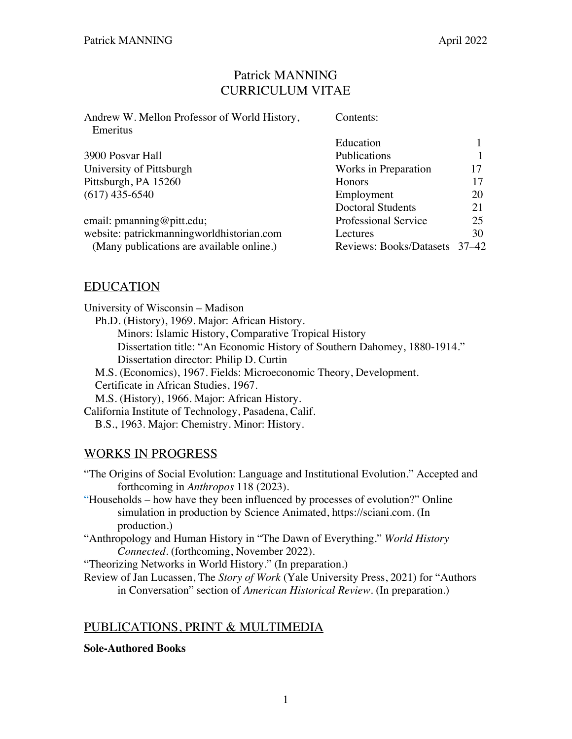## Patrick MANNING CURRICULUM VITAE

| Andrew W. Mellon Professor of World History, | Contents:                     |    |
|----------------------------------------------|-------------------------------|----|
| Emeritus                                     |                               |    |
|                                              | Education                     |    |
| 3900 Posvar Hall                             | Publications                  |    |
| University of Pittsburgh                     | Works in Preparation          | 17 |
| Pittsburgh, PA 15260                         | Honors                        | 17 |
| $(617)$ 435-6540                             | Employment                    | 20 |
|                                              | <b>Doctoral Students</b>      | 21 |
| email: pmanning@pitt.edu;                    | Professional Service          | 25 |
| website: patrickmanningworldhistorian.com    | Lectures                      | 30 |
| (Many publications are available online.)    | Reviews: Books/Datasets 37–42 |    |
|                                              |                               |    |

# EDUCATION

University of Wisconsin – Madison Ph.D. (History), 1969. Major: African History. Minors: Islamic History, Comparative Tropical History Dissertation title: "An Economic History of Southern Dahomey, 1880-1914." Dissertation director: Philip D. Curtin M.S. (Economics), 1967. Fields: Microeconomic Theory, Development. Certificate in African Studies, 1967. M.S. (History), 1966. Major: African History. California Institute of Technology, Pasadena, Calif. B.S., 1963. Major: Chemistry. Minor: History.

# WORKS IN PROGRESS

"The Origins of Social Evolution: Language and Institutional Evolution." Accepted and forthcoming in *Anthropos* 118 (2023).

"Households – how have they been influenced by processes of evolution?" Online simulation in production by Science Animated, https://sciani.com. (In production.)

"Anthropology and Human History in "The Dawn of Everything." *World History Connected.* (forthcoming, November 2022).

"Theorizing Networks in World History." (In preparation.)

Review of Jan Lucassen, The *Story of Work* (Yale University Press, 2021) for "Authors in Conversation" section of *American Historical Review.* (In preparation.)

# PUBLICATIONS, PRINT & MULTIMEDIA

## **Sole-Authored Books**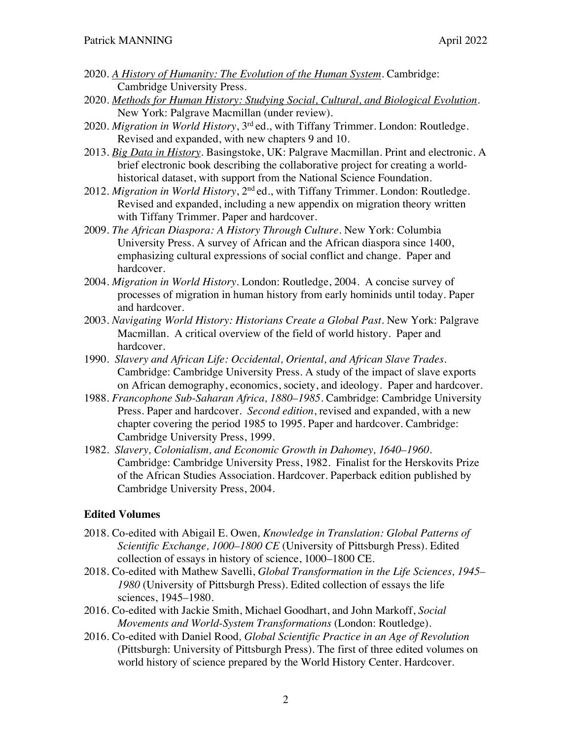- 2020. *A History of Humanity: The Evolution of the Human System.* Cambridge: Cambridge University Press.
- 2020. *Methods for Human History: Studying Social, Cultural, and Biological Evolution.* New York: Palgrave Macmillan (under review).
- 2020. *Migration in World History*, 3rd ed., with Tiffany Trimmer. London: Routledge. Revised and expanded, with new chapters 9 and 10.
- 2013. *Big Data in History*. Basingstoke, UK: Palgrave Macmillan. Print and electronic. A brief electronic book describing the collaborative project for creating a worldhistorical dataset, with support from the National Science Foundation.
- 2012. *Migration in World History*, 2nd ed., with Tiffany Trimmer. London: Routledge. Revised and expanded, including a new appendix on migration theory written with Tiffany Trimmer. Paper and hardcover.
- 2009. *The African Diaspora: A History Through Culture*. New York: Columbia University Press. A survey of African and the African diaspora since 1400, emphasizing cultural expressions of social conflict and change. Paper and hardcover.
- 2004. *Migration in World History*. London: Routledge, 2004. A concise survey of processes of migration in human history from early hominids until today. Paper and hardcover.
- 2003. *Navigating World History: Historians Create a Global Past*. New York: Palgrave Macmillan. A critical overview of the field of world history. Paper and hardcover.
- 1990. *Slavery and African Life: Occidental, Oriental, and African Slave Trades*. Cambridge: Cambridge University Press. A study of the impact of slave exports on African demography, economics, society, and ideology. Paper and hardcover.
- 1988. *Francophone Sub-Saharan Africa, 1880–1985*. Cambridge: Cambridge University Press. Paper and hardcover. *Second edition*, revised and expanded, with a new chapter covering the period 1985 to 1995. Paper and hardcover. Cambridge: Cambridge University Press, 1999.
- 1982. *Slavery, Colonialism, and Economic Growth in Dahomey, 1640–1960*. Cambridge: Cambridge University Press, 1982. Finalist for the Herskovits Prize of the African Studies Association. Hardcover. Paperback edition published by Cambridge University Press, 2004.

#### **Edited Volumes**

- 2018. Co-edited with Abigail E. Owen*, Knowledge in Translation: Global Patterns of Scientific Exchange, 1000–1800 CE* (University of Pittsburgh Press). Edited collection of essays in history of science, 1000–1800 CE.
- 2018. Co-edited with Mathew Savelli, *Global Transformation in the Life Sciences, 1945– 1980* (University of Pittsburgh Press). Edited collection of essays the life sciences, 1945–1980.
- 2016. Co-edited with Jackie Smith, Michael Goodhart, and John Markoff, *Social Movements and World-System Transformations* (London: Routledge).
- 2016. Co-edited with Daniel Rood*, Global Scientific Practice in an Age of Revolution* (Pittsburgh: University of Pittsburgh Press). The first of three edited volumes on world history of science prepared by the World History Center. Hardcover.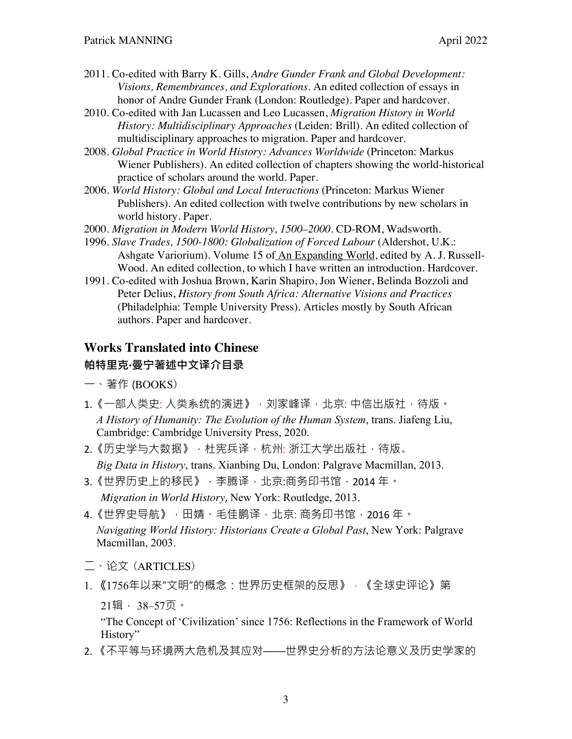- 2011. Co-edited with Barry K. Gills, *Andre Gunder Frank and Global Development: Visions, Remembrances, and Explorations*. An edited collection of essays in honor of Andre Gunder Frank (London: Routledge). Paper and hardcover.
- 2010. Co-edited with Jan Lucassen and Leo Lucassen, *Migration History in World History: Multidisciplinary Approaches* (Leiden: Brill). An edited collection of multidisciplinary approaches to migration. Paper and hardcover.
- 2008. *Global Practice in World History: Advances Worldwide* (Princeton: Markus Wiener Publishers). An edited collection of chapters showing the world-historical practice of scholars around the world. Paper.
- 2006. *World History: Global and Local Interactions* (Princeton: Markus Wiener Publishers). An edited collection with twelve contributions by new scholars in world history. Paper.
- 2000. *Migration in Modern World History, 1500–2000.* CD-ROM, Wadsworth.
- 1996. *Slave Trades, 1500-1800: Globalization of Forced Labour* (Aldershot, U.K.: Ashgate Variorium). Volume 15 of An Expanding World, edited by A. J. Russell-Wood. An edited collection, to which I have written an introduction. Hardcover.
- 1991. Co-edited with Joshua Brown, Karin Shapiro, Jon Wiener, Belinda Bozzoli and Peter Delius, *History from South Africa: Alternative Visions and Practices* (Philadelphia: Temple University Press). Articles mostly by South African authors. Paper and hardcover.

## **Works Translated into Chinese**

## **帕特里克·曼宁著述中文译介目录**

- 一、著作 (BOOKS)
- 1. 《一部人类史: 人类系统的演进》, 刘家峰译, 北京: 中信出版社, 待版。 *A History of Humanity: The Evolution of the Human System*, trans. Jiafeng Liu, Cambridge: Cambridge University Press, 2020.
- 2.《历史学与大数据》,杜宪兵译,杭州: 浙江大学出版社,待版。 *Big Data in History*, trans. Xianbing Du, London: Palgrave Macmillan, 2013.
- 3.《世界历史上的移民》,李腾译,北京:商务印书馆, 2014 年。 *Migration in World History*, New York: Routledge, 2013.
- 4.《世界史导航》,田婧、毛佳鹏译,北京: 商务印书馆,2016 年。 *Navigating World History: Historians Create a Global Past*, New York: Palgrave Macmillan, 2003.
- 二、论文 (ARTICLES)
- 1. 《1756年以来"文明"的概念:世界历史框架的反思》,《全球史评论》第 21辑, 38–57页。

"The Concept of 'Civilization' since 1756: Reflections in the Framework of World History"

2. 《不平等与环境两大危机及其应对——世界史分析的方法论意义及历史学家的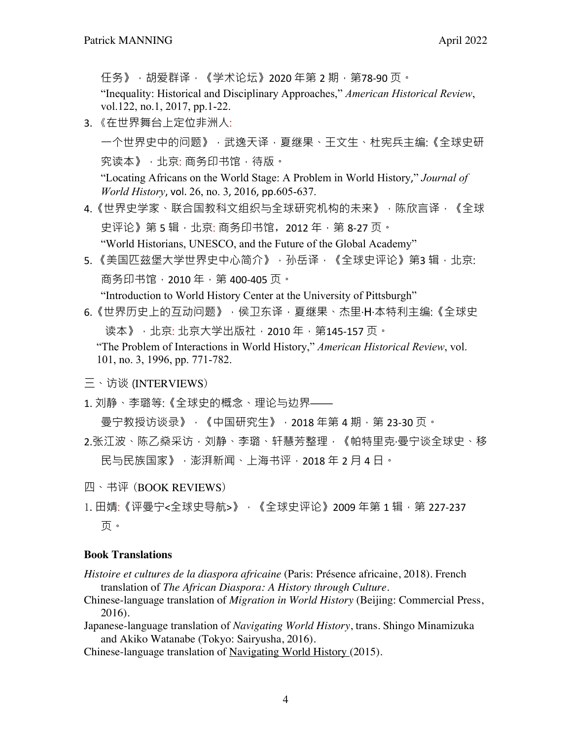任务》,胡爱群译,《学术论坛》2020年第 2 期,第78-90 页。

"Inequality: Historical and Disciplinary Approaches," *American Historical Review*, vol.122, no.1, 2017, pp.1-22.

3. 《在世界舞台上定位非洲人:

一个世界史中的问题》,武逸天译,夏继果、王文生、杜宪兵主编:《全球史研 究读本》,北京: 商务印书馆, 待版。

"Locating Africans on the World Stage: A Problem in World History," *Journal of World History*, vol. 26, no. 3, 2016, pp.605-637.

- 4.《世界史学家、联合国教科文组织与全球研究机构的未来》,陈欣言译,《全球 史评论》第 5 辑, 北京: 商务印书馆, 2012 年, 第 8-27 页。 "World Historians, UNESCO, and the Future of the Global Academy"
- 5. 《美国匹兹堡大学世界史中心简介》,孙岳译,《全球史评论》第3辑,北京: 商务印书馆, 2010年, 第 400-405页。

"Introduction to World History Center at the University of Pittsburgh"

- 6.《世界历史上的互动问题》,侯卫东译,夏继果、杰里·H·本特利主编:《全球史 读本》, 北京: 北京大学出版社, 2010 年, 第145-157 页。 "The Problem of Interactions in World History," *American Historical Review*, vol.
	- 101, no. 3, 1996, pp. 771-782.
- 三、访谈 (INTERVIEWS)
- 1. 刘静、李璐等:《全球史的概念、理论与边界——

 $\bigoplus$ 宁教授访谈录》,《中国研究生》, 2018年第 4 期, 第 23-30 页。

- 2.张江波、陈乙燊采访,刘静、李璐、轩慧芳整理,《帕特里克·曼宁谈全球史、移 民与民族国家》,澎湃新闻、上海书评,2018 年 2 月 4 日。
- 四、书评 (BOOK REVIEWS)
- 1. 田婧:《评曼宁<全球史导航>》, 《全球史评论》2009 年第 1 辑, 第 227-237 页。

#### **Book Translations**

- *Histoire et cultures de la diaspora africaine* (Paris: Présence africaine, 2018). French translation of *The African Diaspora: A History through Culture.*
- Chinese-language translation of *Migration in World History* (Beijing: Commercial Press, 2016).
- Japanese-language translation of *Navigating World History*, trans. Shingo Minamizuka and Akiko Watanabe (Tokyo: Sairyusha, 2016).
- Chinese-language translation of Navigating World History (2015).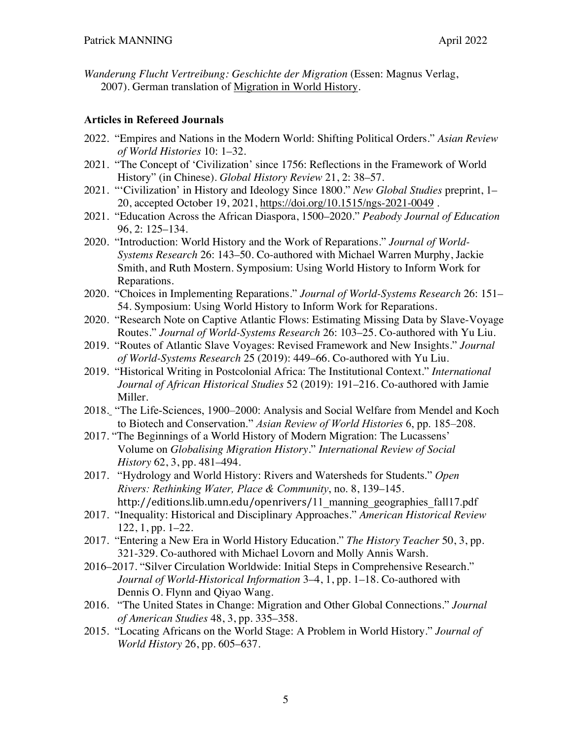*Wanderung Flucht Vertreibung: Geschichte der Migration* (Essen: Magnus Verlag, 2007). German translation of Migration in World History.

### **Articles in Refereed Journals**

- 2022. "Empires and Nations in the Modern World: Shifting Political Orders." *Asian Review of World Histories* 10: 1–32.
- 2021. "The Concept of 'Civilization' since 1756: Reflections in the Framework of World History" (in Chinese). *Global History Review* 21, 2: 38–57.
- 2021. "'Civilization' in History and Ideology Since 1800." *New Global Studies* preprint, 1– 20, accepted October 19, 2021, https://doi.org/10.1515/ngs-2021-0049 .
- 2021. "Education Across the African Diaspora, 1500–2020." *Peabody Journal of Education* 96, 2: 125–134.
- 2020. "Introduction: World History and the Work of Reparations." *Journal of World-Systems Research* 26: 143–50. Co-authored with Michael Warren Murphy, Jackie Smith, and Ruth Mostern. Symposium: Using World History to Inform Work for Reparations.
- 2020. "Choices in Implementing Reparations." *Journal of World-Systems Research* 26: 151– 54. Symposium: Using World History to Inform Work for Reparations.
- 2020. "Research Note on Captive Atlantic Flows: Estimating Missing Data by Slave-Voyage Routes." *Journal of World-Systems Research* 26: 103–25. Co-authored with Yu Liu.
- 2019. "Routes of Atlantic Slave Voyages: Revised Framework and New Insights." *Journal of World-Systems Research* 25 (2019): 449–66. Co-authored with Yu Liu.
- 2019. "Historical Writing in Postcolonial Africa: The Institutional Context." *International Journal of African Historical Studies* 52 (2019): 191–216. Co-authored with Jamie Miller.
- 2018. "The Life-Sciences, 1900–2000: Analysis and Social Welfare from Mendel and Koch to Biotech and Conservation." *Asian Review of World Histories* 6, pp. 185–208.
- 2017. "The Beginnings of a World History of Modern Migration: The Lucassens' Volume on *Globalising Migration History*." *International Review of Social History* 62, 3, pp. 481–494.
- 2017. "Hydrology and World History: Rivers and Watersheds for Students." *Open Rivers: Rethinking Water, Place & Community*, no. 8, 139–145. http://editions.lib.umn.edu/openrivers/11\_manning\_geographies\_fall17.pdf
- 2017. "Inequality: Historical and Disciplinary Approaches." *American Historical Review* 122, 1, pp. 1–22.
- 2017. "Entering a New Era in World History Education." *The History Teacher* 50, 3, pp. 321-329. Co-authored with Michael Lovorn and Molly Annis Warsh.
- 2016–2017. "Silver Circulation Worldwide: Initial Steps in Comprehensive Research." *Journal of World-Historical Information* 3–4, 1, pp. 1–18. Co-authored with Dennis O. Flynn and Qiyao Wang.
- 2016. "The United States in Change: Migration and Other Global Connections." *Journal of American Studies* 48, 3, pp. 335–358.
- 2015. "Locating Africans on the World Stage: A Problem in World History." *Journal of World History* 26, pp. 605–637.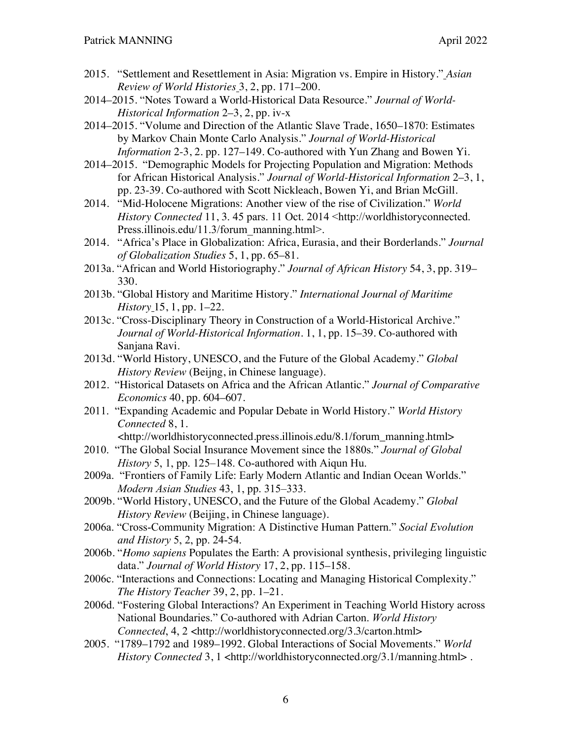- 2015. "Settlement and Resettlement in Asia: Migration vs. Empire in History." *Asian Review of World Histories* 3, 2, pp. 171–200.
- 2014–2015. "Notes Toward a World-Historical Data Resource." *Journal of World-Historical Information* 2–3, 2, pp. iv-x
- 2014–2015. "Volume and Direction of the Atlantic Slave Trade, 1650–1870: Estimates by Markov Chain Monte Carlo Analysis." *Journal of World-Historical Information* 2-3, 2. pp. 127–149. Co-authored with Yun Zhang and Bowen Yi.
- 2014–2015. "Demographic Models for Projecting Population and Migration: Methods for African Historical Analysis." *Journal of World-Historical Information* 2–3, 1, pp. 23-39. Co-authored with Scott Nickleach, Bowen Yi, and Brian McGill.
- 2014. "Mid-Holocene Migrations: Another view of the rise of Civilization." *World History Connected* 11, 3. 45 pars. 11 Oct. 2014 <http://worldhistoryconnected. Press.illinois.edu/11.3/forum\_manning.html>.
- 2014. "Africa's Place in Globalization: Africa, Eurasia, and their Borderlands." *Journal of Globalization Studies* 5, 1, pp. 65–81.
- 2013a. "African and World Historiography." *Journal of African History* 54, 3, pp. 319– 330.
- 2013b. "Global History and Maritime History." *International Journal of Maritime History* 15, 1, pp. 1–22.
- 2013c. "Cross-Disciplinary Theory in Construction of a World-Historical Archive." *Journal of World-Historical Information*. 1, 1, pp. 15–39. Co-authored with Sanjana Ravi.
- 2013d. "World History, UNESCO, and the Future of the Global Academy." *Global History Review* (Beijng, in Chinese language).
- 2012. "Historical Datasets on Africa and the African Atlantic." *Journal of Comparative Economics* 40, pp. 604–607.
- 2011. "Expanding Academic and Popular Debate in World History." *World History Connected* 8, 1.
- <http://worldhistoryconnected.press.illinois.edu/8.1/forum\_manning.html> 2010. "The Global Social Insurance Movement since the 1880s." *Journal of Global*
- *History* 5, 1, pp. 125–148. Co-authored with Aiqun Hu.
- 2009a. "Frontiers of Family Life: Early Modern Atlantic and Indian Ocean Worlds." *Modern Asian Studies* 43, 1, pp. 315–333.
- 2009b. "World History, UNESCO, and the Future of the Global Academy." *Global History Review* (Beijing, in Chinese language).
- 2006a. "Cross-Community Migration: A Distinctive Human Pattern." *Social Evolution and History* 5, 2, pp. 24-54.
- 2006b. "*Homo sapiens* Populates the Earth: A provisional synthesis, privileging linguistic data." *Journal of World History* 17, 2, pp. 115–158.
- 2006c. "Interactions and Connections: Locating and Managing Historical Complexity." *The History Teacher* 39, 2, pp. 1–21.
- 2006d. "Fostering Global Interactions? An Experiment in Teaching World History across National Boundaries." Co-authored with Adrian Carton. *World History Connected*, 4, 2 <http://worldhistoryconnected.org/3.3/carton.html>
- 2005. "1789–1792 and 1989–1992. Global Interactions of Social Movements." *World History Connected* 3, 1 <http://worldhistoryconnected.org/3.1/manning.html>.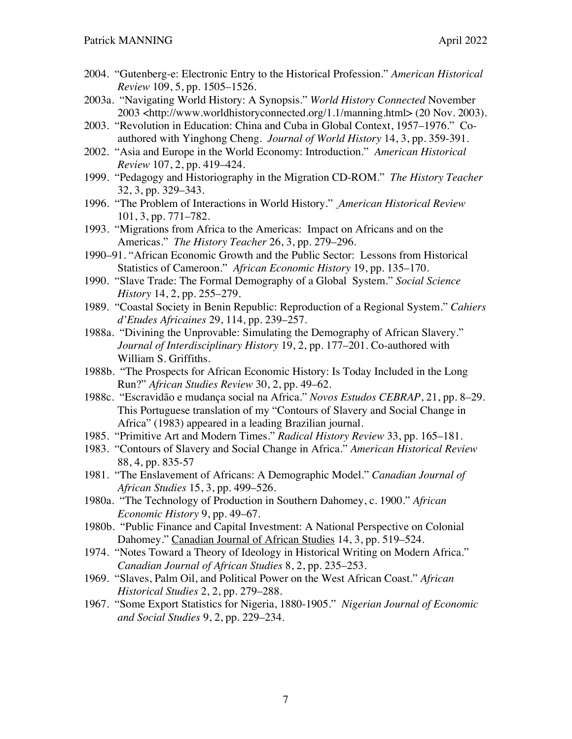- 2004. "Gutenberg-e: Electronic Entry to the Historical Profession." *American Historical Review* 109, 5, pp. 1505–1526.
- 2003a. "Navigating World History: A Synopsis." *World History Connected* November 2003 <http://www.worldhistoryconnected.org/1.1/manning.html> (20 Nov. 2003).
- 2003. "Revolution in Education: China and Cuba in Global Context, 1957–1976." Coauthored with Yinghong Cheng. *Journal of World History* 14, 3, pp. 359-391.
- 2002. "Asia and Europe in the World Economy: Introduction." *American Historical Review* 107, 2, pp. 419–424.
- 1999. "Pedagogy and Historiography in the Migration CD-ROM." *The History Teacher* 32, 3, pp. 329–343.
- 1996. "The Problem of Interactions in World History." *American Historical Review* 101, 3, pp. 771–782.
- 1993. "Migrations from Africa to the Americas: Impact on Africans and on the Americas." *The History Teacher* 26, 3, pp. 279–296.
- 1990–91. "African Economic Growth and the Public Sector: Lessons from Historical Statistics of Cameroon." *African Economic History* 19, pp. 135–170.
- 1990. "Slave Trade: The Formal Demography of a Global System." *Social Science History* 14, 2, pp. 255–279.
- 1989. "Coastal Society in Benin Republic: Reproduction of a Regional System." *Cahiers d'Etudes Africaines* 29, 114, pp. 239–257.
- 1988a. "Divining the Unprovable: Simulating the Demography of African Slavery." *Journal of Interdisciplinary History* 19, 2, pp. 177–201. Co-authored with William S. Griffiths.
- 1988b. "The Prospects for African Economic History: Is Today Included in the Long Run?" *African Studies Review* 30, 2, pp. 49–62.
- 1988c. "Escravidão e mudança social na Africa." *Novos Estudos CEBRAP*, 21, pp. 8–29. This Portuguese translation of my "Contours of Slavery and Social Change in Africa" (1983) appeared in a leading Brazilian journal.
- 1985. "Primitive Art and Modern Times." *Radical History Review* 33, pp. 165–181.
- 1983. "Contours of Slavery and Social Change in Africa." *American Historical Review* 88, 4, pp. 835-57
- 1981. "The Enslavement of Africans: A Demographic Model." *Canadian Journal of African Studies* 15, 3, pp. 499–526.
- 1980a. "The Technology of Production in Southern Dahomey, c. 1900." *African Economic History* 9, pp. 49–67.
- 1980b. "Public Finance and Capital Investment: A National Perspective on Colonial Dahomey." Canadian Journal of African Studies 14, 3, pp. 519–524.
- 1974. "Notes Toward a Theory of Ideology in Historical Writing on Modern Africa." *Canadian Journal of African Studies* 8, 2, pp. 235–253.
- 1969. "Slaves, Palm Oil, and Political Power on the West African Coast." *African Historical Studies* 2, 2, pp. 279–288.
- 1967. "Some Export Statistics for Nigeria, 1880-1905." *Nigerian Journal of Economic and Social Studies* 9, 2, pp. 229–234.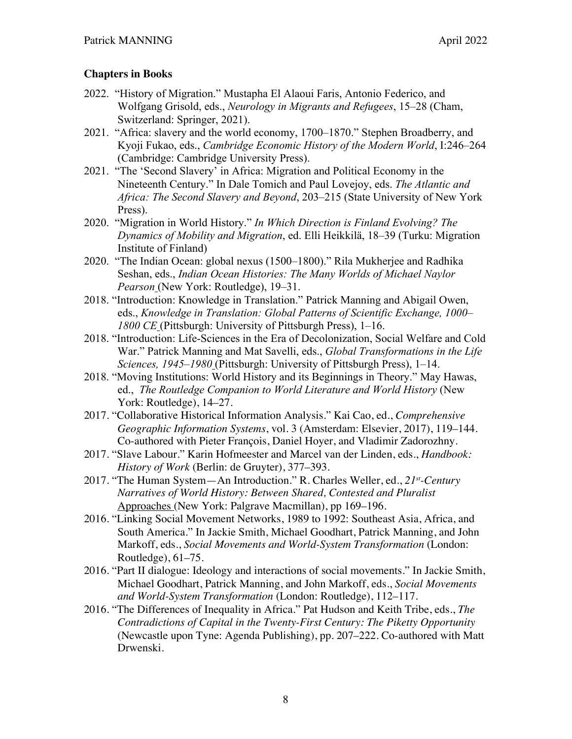## **Chapters in Books**

- 2022. "History of Migration." Mustapha El Alaoui Faris, Antonio Federico, and Wolfgang Grisold, eds., *Neurology in Migrants and Refugees*, 15–28 (Cham, Switzerland: Springer, 2021).
- 2021. "Africa: slavery and the world economy, 1700–1870." Stephen Broadberry, and Kyoji Fukao, eds., *Cambridge Economic History of the Modern World*, I:246–264 (Cambridge: Cambridge University Press).
- 2021. "The 'Second Slavery' in Africa: Migration and Political Economy in the Nineteenth Century." In Dale Tomich and Paul Lovejoy, eds. *The Atlantic and Africa: The Second Slavery and Beyond*, 203–215 (State University of New York Press).
- 2020. "Migration in World History." *In Which Direction is Finland Evolving? The Dynamics of Mobility and Migration*, ed. Elli Heikkilä, 18–39 (Turku: Migration Institute of Finland)
- 2020. "The Indian Ocean: global nexus (1500–1800)." Rila Mukherjee and Radhika Seshan, eds., *Indian Ocean Histories: The Many Worlds of Michael Naylor Pearson* (New York: Routledge), 19–31.
- 2018. "Introduction: Knowledge in Translation." Patrick Manning and Abigail Owen, eds., *Knowledge in Translation: Global Patterns of Scientific Exchange, 1000– 1800 CE* (Pittsburgh: University of Pittsburgh Press), 1–16.
- 2018. "Introduction: Life-Sciences in the Era of Decolonization, Social Welfare and Cold War." Patrick Manning and Mat Savelli, eds., *Global Transformations in the Life Sciences, 1945–1980* (Pittsburgh: University of Pittsburgh Press), 1–14.
- 2018. "Moving Institutions: World History and its Beginnings in Theory." May Hawas, ed., *The Routledge Companion to World Literature and World History* (New York: Routledge), 14–27.
- 2017. "Collaborative Historical Information Analysis." Kai Cao, ed., *Comprehensive Geographic Information Systems*, vol. 3 (Amsterdam: Elsevier, 2017), 119–144. Co-authored with Pieter François, Daniel Hoyer, and Vladimir Zadorozhny.
- 2017. "Slave Labour." Karin Hofmeester and Marcel van der Linden, eds., *Handbook: History of Work* (Berlin: de Gruyter), 377–393.
- 2017. "The Human System—An Introduction." R. Charles Weller, ed., *21st-Century Narratives of World History: Between Shared, Contested and Pluralist* Approaches (New York: Palgrave Macmillan), pp 169–196.
- 2016. "Linking Social Movement Networks, 1989 to 1992: Southeast Asia, Africa, and South America." In Jackie Smith, Michael Goodhart, Patrick Manning, and John Markoff, eds., *Social Movements and World-System Transformation* (London: Routledge), 61–75.
- 2016. "Part II dialogue: Ideology and interactions of social movements." In Jackie Smith, Michael Goodhart, Patrick Manning, and John Markoff, eds., *Social Movements and World-System Transformation* (London: Routledge), 112–117.
- 2016. "The Differences of Inequality in Africa." Pat Hudson and Keith Tribe, eds., *The Contradictions of Capital in the Twenty-First Century: The Piketty Opportunity* (Newcastle upon Tyne: Agenda Publishing), pp. 207–222. Co-authored with Matt Drwenski.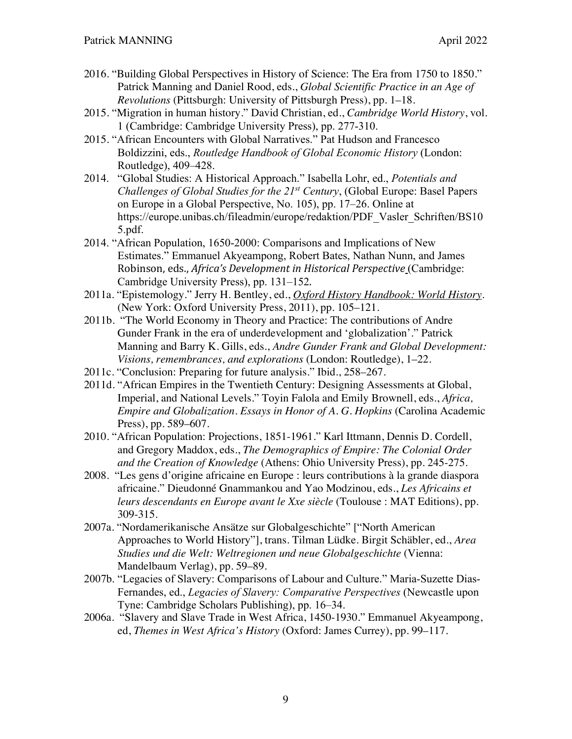- 2016. "Building Global Perspectives in History of Science: The Era from 1750 to 1850." Patrick Manning and Daniel Rood, eds., *Global Scientific Practice in an Age of Revolutions* (Pittsburgh: University of Pittsburgh Press), pp. 1–18.
- 2015. "Migration in human history." David Christian, ed., *Cambridge World History*, vol. 1 (Cambridge: Cambridge University Press), pp. 277-310.
- 2015. "African Encounters with Global Narratives." Pat Hudson and Francesco Boldizzini, eds., *Routledge Handbook of Global Economic History* (London: Routledge), 409–428.
- 2014. "Global Studies: A Historical Approach." Isabella Lohr, ed., *Potentials and Challenges of Global Studies for the 21st Century*, (Global Europe: Basel Papers on Europe in a Global Perspective, No. 105), pp. 17–26. Online at https://europe.unibas.ch/fileadmin/europe/redaktion/PDF\_Vasler\_Schriften/BS10 5.pdf.
- 2014. "African Population, 1650-2000: Comparisons and Implications of New Estimates." Emmanuel Akyeampong, Robert Bates, Nathan Nunn, and James Robinson, eds., *Africa's Development in Historical Perspective* (Cambridge: Cambridge University Press), pp. 131–152.
- 2011a. "Epistemology." Jerry H. Bentley, ed., *Oxford History Handbook: World History*. (New York: Oxford University Press, 2011), pp. 105–121.
- 2011b. "The World Economy in Theory and Practice: The contributions of Andre Gunder Frank in the era of underdevelopment and 'globalization'." Patrick Manning and Barry K. Gills, eds., *Andre Gunder Frank and Global Development: Visions, remembrances, and explorations* (London: Routledge), 1–22.
- 2011c. "Conclusion: Preparing for future analysis." Ibid., 258–267.
- 2011d. "African Empires in the Twentieth Century: Designing Assessments at Global, Imperial, and National Levels." Toyin Falola and Emily Brownell, eds., *Africa, Empire and Globalization. Essays in Honor of A. G. Hopkins* (Carolina Academic Press), pp. 589–607.
- 2010. "African Population: Projections, 1851-1961." Karl Ittmann, Dennis D. Cordell, and Gregory Maddox, eds., *The Demographics of Empire: The Colonial Order and the Creation of Knowledge* (Athens: Ohio University Press), pp. 245-275.
- 2008. "Les gens d'origine africaine en Europe : leurs contributions à la grande diaspora africaine." Dieudonné Gnammankou and Yao Modzinou, eds., *Les Africains et leurs descendants en Europe avant le Xxe siècle* (Toulouse : MAT Editions), pp. 309-315.
- 2007a. "Nordamerikanische Ansätze sur Globalgeschichte" ["North American Approaches to World History"], trans. Tilman Lüdke. Birgit Schäbler, ed., *Area Studies und die Welt: Weltregionen und neue Globalgeschichte* (Vienna: Mandelbaum Verlag), pp. 59–89.
- 2007b. "Legacies of Slavery: Comparisons of Labour and Culture." Maria-Suzette Dias-Fernandes, ed., *Legacies of Slavery: Comparative Perspectives* (Newcastle upon Tyne: Cambridge Scholars Publishing), pp. 16–34.
- 2006a. "Slavery and Slave Trade in West Africa, 1450-1930." Emmanuel Akyeampong, ed, *Themes in West Africa's History* (Oxford: James Currey), pp. 99–117.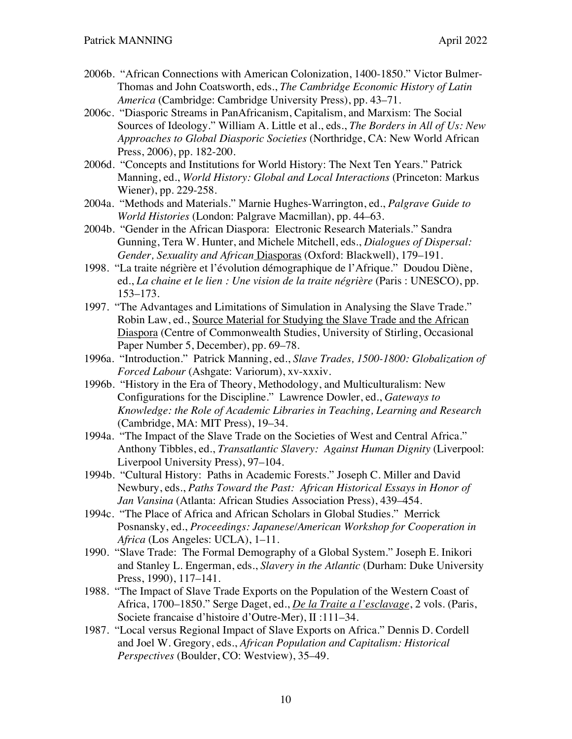- 2006b. "African Connections with American Colonization, 1400-1850." Victor Bulmer-Thomas and John Coatsworth, eds., *The Cambridge Economic History of Latin America* (Cambridge: Cambridge University Press), pp. 43–71.
- 2006c. "Diasporic Streams in PanAfricanism, Capitalism, and Marxism: The Social Sources of Ideology." William A. Little et al., eds., *The Borders in All of Us: New Approaches to Global Diasporic Societies* (Northridge, CA: New World African Press, 2006), pp. 182-200.
- 2006d. "Concepts and Institutions for World History: The Next Ten Years." Patrick Manning, ed., *World History: Global and Local Interactions* (Princeton: Markus Wiener), pp. 229-258.
- 2004a. "Methods and Materials." Marnie Hughes-Warrington, ed., *Palgrave Guide to World Histories* (London: Palgrave Macmillan), pp. 44–63.
- 2004b. "Gender in the African Diaspora: Electronic Research Materials." Sandra Gunning, Tera W. Hunter, and Michele Mitchell, eds., *Dialogues of Dispersal: Gender, Sexuality and African* Diasporas (Oxford: Blackwell), 179–191.
- 1998. "La traite négrière et l'évolution démographique de l'Afrique." Doudou Diène, ed., *La chaine et le lien : Une vision de la traite négrière* (Paris : UNESCO), pp. 153–173.
- 1997. "The Advantages and Limitations of Simulation in Analysing the Slave Trade." Robin Law, ed., Source Material for Studying the Slave Trade and the African Diaspora (Centre of Commonwealth Studies, University of Stirling, Occasional Paper Number 5, December), pp. 69–78.
- 1996a. "Introduction." Patrick Manning, ed., *Slave Trades, 1500-1800: Globalization of Forced Labour* (Ashgate: Variorum), xv-xxxiv.
- 1996b. "History in the Era of Theory, Methodology, and Multiculturalism: New Configurations for the Discipline." Lawrence Dowler, ed., *Gateways to Knowledge: the Role of Academic Libraries in Teaching, Learning and Research* (Cambridge, MA: MIT Press), 19–34.
- 1994a. "The Impact of the Slave Trade on the Societies of West and Central Africa." Anthony Tibbles, ed., *Transatlantic Slavery: Against Human Dignity* (Liverpool: Liverpool University Press), 97–104.
- 1994b. "Cultural History: Paths in Academic Forests." Joseph C. Miller and David Newbury, eds., *Paths Toward the Past: African Historical Essays in Honor of Jan Vansina* (Atlanta: African Studies Association Press), 439–454.
- 1994c. "The Place of Africa and African Scholars in Global Studies." Merrick Posnansky, ed., *Proceedings: Japanese/American Workshop for Cooperation in Africa* (Los Angeles: UCLA), 1–11.
- 1990. "Slave Trade: The Formal Demography of a Global System." Joseph E. Inikori and Stanley L. Engerman, eds., *Slavery in the Atlantic* (Durham: Duke University Press, 1990), 117–141.
- 1988. "The Impact of Slave Trade Exports on the Population of the Western Coast of Africa, 1700–1850." Serge Daget, ed., *De la Traite a l'esclavage*, 2 vols. (Paris, Societe francaise d'histoire d'Outre-Mer), II :111–34.
- 1987. "Local versus Regional Impact of Slave Exports on Africa." Dennis D. Cordell and Joel W. Gregory, eds., *African Population and Capitalism: Historical Perspectives* (Boulder, CO: Westview), 35–49.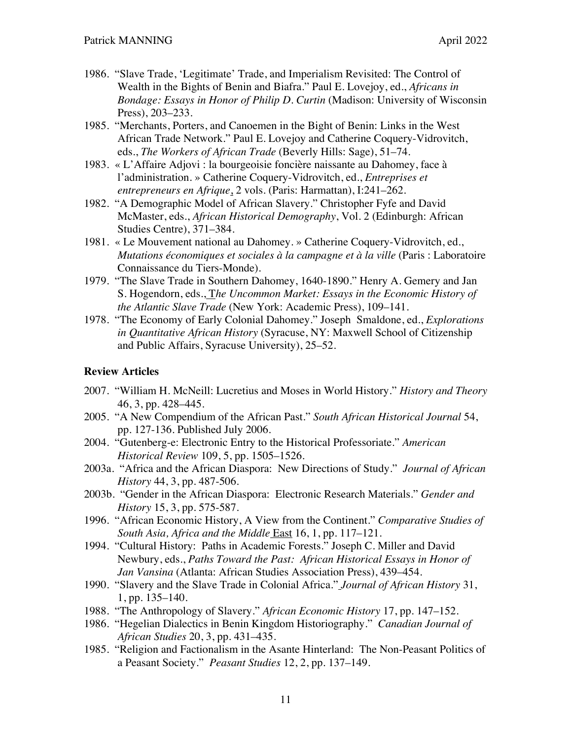- 1986. "Slave Trade, 'Legitimate' Trade, and Imperialism Revisited: The Control of Wealth in the Bights of Benin and Biafra." Paul E. Lovejoy, ed., *Africans in Bondage: Essays in Honor of Philip D. Curtin* (Madison: University of Wisconsin Press), 203–233.
- 1985. "Merchants, Porters, and Canoemen in the Bight of Benin: Links in the West African Trade Network." Paul E. Lovejoy and Catherine Coquery-Vidrovitch, eds., *The Workers of African Trade* (Beverly Hills: Sage), 51–74.
- 1983. « L'Affaire Adjovi : la bourgeoisie foncière naissante au Dahomey, face à l'administration. » Catherine Coquery-Vidrovitch, ed., *Entreprises et entrepreneurs en Afrique*, 2 vols. (Paris: Harmattan), I:241–262.
- 1982. "A Demographic Model of African Slavery." Christopher Fyfe and David McMaster, eds., *African Historical Demography*, Vol. 2 (Edinburgh: African Studies Centre), 371–384.
- 1981. « Le Mouvement national au Dahomey. » Catherine Coquery-Vidrovitch, ed., *Mutations économiques et sociales à la campagne et à la ville* (Paris : Laboratoire Connaissance du Tiers-Monde).
- 1979. "The Slave Trade in Southern Dahomey, 1640-1890." Henry A. Gemery and Jan S. Hogendorn, eds., T*he Uncommon Market: Essays in the Economic History of the Atlantic Slave Trade* (New York: Academic Press), 109–141.
- 1978. "The Economy of Early Colonial Dahomey." Joseph Smaldone, ed., *Explorations in Quantitative African History* (Syracuse, NY: Maxwell School of Citizenship and Public Affairs, Syracuse University), 25–52.

#### **Review Articles**

- 2007. "William H. McNeill: Lucretius and Moses in World History." *History and Theory* 46, 3, pp. 428–445.
- 2005. "A New Compendium of the African Past." *South African Historical Journal* 54, pp. 127-136. Published July 2006.
- 2004. "Gutenberg-e: Electronic Entry to the Historical Professoriate." *American Historical Review* 109, 5, pp. 1505–1526.
- 2003a. "Africa and the African Diaspora: New Directions of Study." *Journal of African History* 44, 3, pp. 487-506.
- 2003b. "Gender in the African Diaspora: Electronic Research Materials." *Gender and History* 15, 3, pp. 575-587.
- 1996. "African Economic History, A View from the Continent." *Comparative Studies of South Asia, Africa and the Middle* East 16, 1, pp. 117–121.
- 1994. "Cultural History: Paths in Academic Forests." Joseph C. Miller and David Newbury, eds., *Paths Toward the Past: African Historical Essays in Honor of Jan Vansina* (Atlanta: African Studies Association Press), 439–454.
- 1990. "Slavery and the Slave Trade in Colonial Africa." *Journal of African History* 31, 1, pp. 135–140.
- 1988. "The Anthropology of Slavery." *African Economic History* 17, pp. 147–152.
- 1986. "Hegelian Dialectics in Benin Kingdom Historiography." *Canadian Journal of African Studies* 20, 3, pp. 431–435.
- 1985. "Religion and Factionalism in the Asante Hinterland: The Non-Peasant Politics of a Peasant Society." *Peasant Studies* 12, 2, pp. 137–149.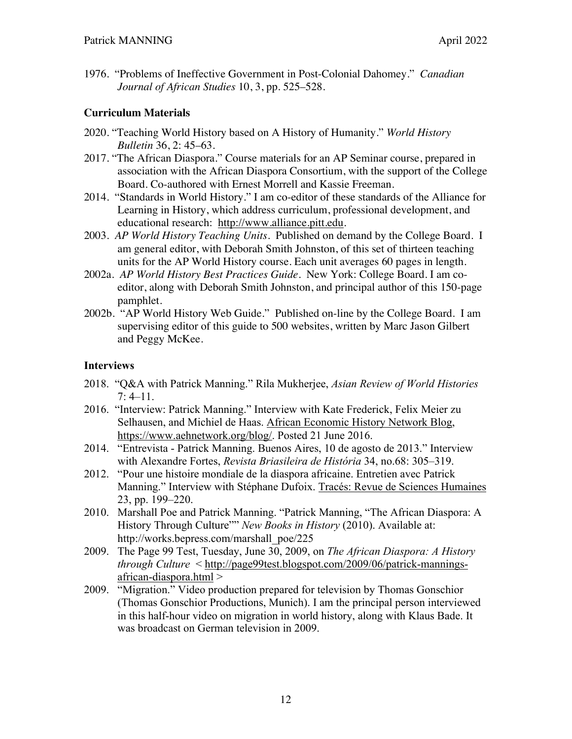1976. "Problems of Ineffective Government in Post-Colonial Dahomey." *Canadian Journal of African Studies* 10, 3, pp. 525–528.

### **Curriculum Materials**

- 2020. "Teaching World History based on A History of Humanity." *World History Bulletin* 36, 2: 45–63.
- 2017. "The African Diaspora." Course materials for an AP Seminar course, prepared in association with the African Diaspora Consortium, with the support of the College Board. Co-authored with Ernest Morrell and Kassie Freeman.
- 2014. "Standards in World History." I am co-editor of these standards of the Alliance for Learning in History, which address curriculum, professional development, and educational research: http://www.alliance.pitt.edu.
- 2003. *AP World History Teaching Units*. Published on demand by the College Board. I am general editor, with Deborah Smith Johnston, of this set of thirteen teaching units for the AP World History course. Each unit averages 60 pages in length.
- 2002a. *AP World History Best Practices Guide*. New York: College Board. I am coeditor, along with Deborah Smith Johnston, and principal author of this 150-page pamphlet.
- 2002b. "AP World History Web Guide." Published on-line by the College Board. I am supervising editor of this guide to 500 websites, written by Marc Jason Gilbert and Peggy McKee.

### **Interviews**

- 2018. "Q&A with Patrick Manning." Rila Mukherjee, *Asian Review of World Histories*  $7: 4-11.$
- 2016. "Interview: Patrick Manning." Interview with Kate Frederick, Felix Meier zu Selhausen, and Michiel de Haas. African Economic History Network Blog, https://www.aehnetwork.org/blog/. Posted 21 June 2016.
- 2014. "Entrevista Patrick Manning. Buenos Aires, 10 de agosto de 2013." Interview with Alexandre Fortes, *Revista Briasileira de História* 34, no.68: 305–319.
- 2012. "Pour une histoire mondiale de la diaspora africaine. Entretien avec Patrick Manning." Interview with Stéphane Dufoix. Tracés: Revue de Sciences Humaines 23, pp. 199–220.
- 2010. Marshall Poe and Patrick Manning. "Patrick Manning, "The African Diaspora: A History Through Culture"" *New Books in History* (2010). Available at: http://works.bepress.com/marshall\_poe/225
- 2009. The Page 99 Test, Tuesday, June 30, 2009, on *The African Diaspora: A History through Culture* < http://page99test.blogspot.com/2009/06/patrick-manningsafrican-diaspora.html >
- 2009. "Migration." Video production prepared for television by Thomas Gonschior (Thomas Gonschior Productions, Munich). I am the principal person interviewed in this half-hour video on migration in world history, along with Klaus Bade. It was broadcast on German television in 2009.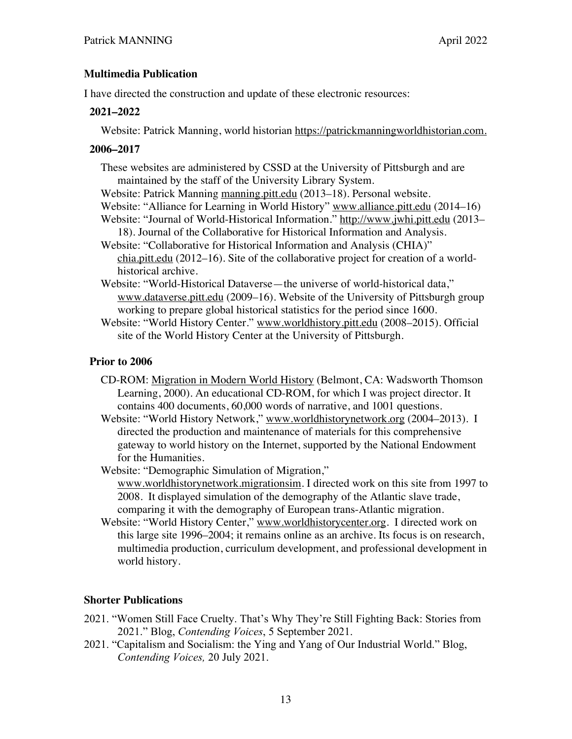### **Multimedia Publication**

I have directed the construction and update of these electronic resources:

#### **2021–2022**

Website: Patrick Manning, world historian https://patrickmanningworldhistorian.com.

### **2006–2017**

- These websites are administered by CSSD at the University of Pittsburgh and are maintained by the staff of the University Library System.
- Website: Patrick Manning manning.pitt.edu (2013–18). Personal website.
- Website: "Alliance for Learning in World History" www.alliance.pitt.edu (2014–16)
- Website: "Journal of World-Historical Information." http://www.jwhi.pitt.edu (2013– 18). Journal of the Collaborative for Historical Information and Analysis.
- Website: "Collaborative for Historical Information and Analysis (CHIA)" chia.pitt.edu (2012–16). Site of the collaborative project for creation of a worldhistorical archive.
- Website: "World-Historical Dataverse—the universe of world-historical data," www.dataverse.pitt.edu (2009–16). Website of the University of Pittsburgh group working to prepare global historical statistics for the period since 1600.

Website: "World History Center." www.worldhistory.pitt.edu (2008–2015). Official site of the World History Center at the University of Pittsburgh.

### **Prior to 2006**

- CD-ROM: Migration in Modern World History (Belmont, CA: Wadsworth Thomson Learning, 2000). An educational CD-ROM, for which I was project director. It contains 400 documents, 60,000 words of narrative, and 1001 questions.
- Website: "World History Network," www.worldhistorynetwork.org (2004–2013). I directed the production and maintenance of materials for this comprehensive gateway to world history on the Internet, supported by the National Endowment for the Humanities.
- Website: "Demographic Simulation of Migration," www.worldhistorynetwork.migrationsim. I directed work on this site from 1997 to 2008. It displayed simulation of the demography of the Atlantic slave trade, comparing it with the demography of European trans-Atlantic migration.
- Website: "World History Center," www.worldhistorycenter.org. I directed work on this large site 1996–2004; it remains online as an archive. Its focus is on research, multimedia production, curriculum development, and professional development in world history.

## **Shorter Publications**

- 2021. "Women Still Face Cruelty. That's Why They're Still Fighting Back: Stories from 2021." Blog, *Contending Voices*, 5 September 2021.
- 2021. "Capitalism and Socialism: the Ying and Yang of Our Industrial World." Blog, *Contending Voices,* 20 July 2021.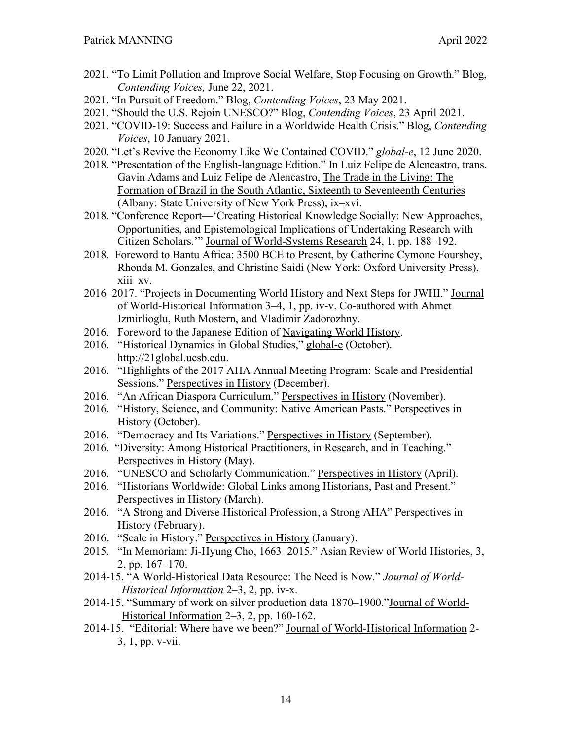- 2021. "To Limit Pollution and Improve Social Welfare, Stop Focusing on Growth." Blog, *Contending Voices,* June 22, 2021.
- 2021. "In Pursuit of Freedom." Blog, *Contending Voices*, 23 May 2021.
- 2021. "Should the U.S. Rejoin UNESCO?" Blog, *Contending Voices*, 23 April 2021.
- 2021. "COVID-19: Success and Failure in a Worldwide Health Crisis." Blog, *Contending Voices*, 10 January 2021.
- 2020. "Let's Revive the Economy Like We Contained COVID." *global-e*, 12 June 2020.
- 2018. "Presentation of the English-language Edition." In Luiz Felipe de Alencastro, trans. Gavin Adams and Luiz Felipe de Alencastro, The Trade in the Living: The Formation of Brazil in the South Atlantic, Sixteenth to Seventeenth Centuries (Albany: State University of New York Press), ix–xvi.
- 2018. "Conference Report—'Creating Historical Knowledge Socially: New Approaches, Opportunities, and Epistemological Implications of Undertaking Research with Citizen Scholars.'" Journal of World-Systems Research 24, 1, pp. 188–192.
- 2018. Foreword to Bantu Africa: 3500 BCE to Present, by Catherine Cymone Fourshey, Rhonda M. Gonzales, and Christine Saidi (New York: Oxford University Press), xiii–xv.
- 2016–2017. "Projects in Documenting World History and Next Steps for JWHI." Journal of World-Historical Information 3–4, 1, pp. iv-v. Co-authored with Ahmet Izmirlioglu, Ruth Mostern, and Vladimir Zadorozhny.
- 2016. Foreword to the Japanese Edition of Navigating World History.
- 2016. "Historical Dynamics in Global Studies," global-e (October). http://21global.ucsb.edu.
- 2016. "Highlights of the 2017 AHA Annual Meeting Program: Scale and Presidential Sessions." Perspectives in History (December).
- 2016. "An African Diaspora Curriculum." Perspectives in History (November).
- 2016. "History, Science, and Community: Native American Pasts." Perspectives in History (October).
- 2016. "Democracy and Its Variations." Perspectives in History (September).
- 2016. "Diversity: Among Historical Practitioners, in Research, and in Teaching." Perspectives in History (May).
- 2016. "UNESCO and Scholarly Communication." Perspectives in History (April).
- 2016. "Historians Worldwide: Global Links among Historians, Past and Present." Perspectives in History (March).
- 2016. "A Strong and Diverse Historical Profession, a Strong AHA" Perspectives in History (February).
- 2016. "Scale in History." Perspectives in History (January).
- 2015. "In Memoriam: Ji-Hyung Cho, 1663–2015." Asian Review of World Histories, 3, 2, pp. 167–170.
- 2014-15. "A World-Historical Data Resource: The Need is Now." *Journal of World-Historical Information* 2–3, 2, pp. iv-x.
- 2014-15. "Summary of work on silver production data 1870–1900."Journal of World-Historical Information 2–3, 2, pp. 160-162.
- 2014-15. "Editorial: Where have we been?" Journal of World-Historical Information 2- 3, 1, pp. v-vii.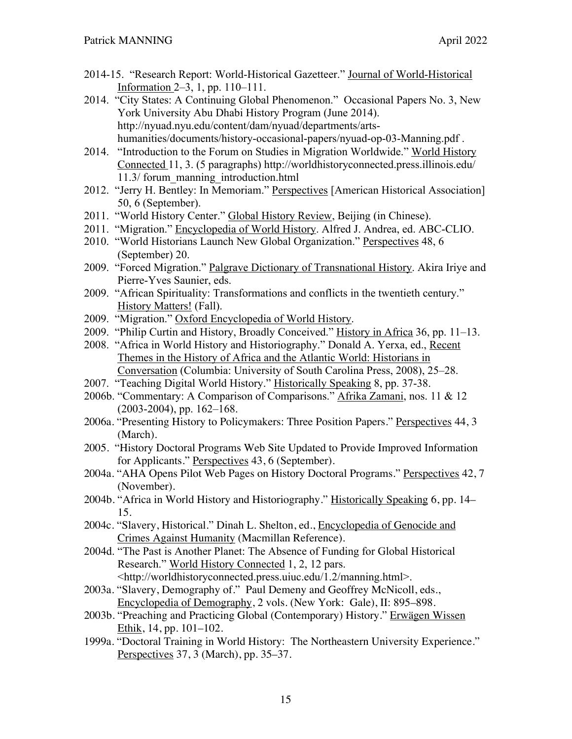- 2014-15. "Research Report: World-Historical Gazetteer." Journal of World-Historical Information 2–3, 1, pp. 110–111.
- 2014. "City States: A Continuing Global Phenomenon." Occasional Papers No. 3, New York University Abu Dhabi History Program (June 2014). http://nyuad.nyu.edu/content/dam/nyuad/departments/artshumanities/documents/history-occasional-papers/nyuad-op-03-Manning.pdf .
- 2014. "Introduction to the Forum on Studies in Migration Worldwide." World History Connected 11, 3. (5 paragraphs) http://worldhistoryconnected.press.illinois.edu/ 11.3/ forum\_manning\_introduction.html
- 2012. "Jerry H. Bentley: In Memoriam." Perspectives [American Historical Association] 50, 6 (September).
- 2011. "World History Center." Global History Review, Beijing (in Chinese).
- 2011. "Migration." Encyclopedia of World History. Alfred J. Andrea, ed. ABC-CLIO.
- 2010. "World Historians Launch New Global Organization." Perspectives 48, 6 (September) 20.
- 2009. "Forced Migration." Palgrave Dictionary of Transnational History. Akira Iriye and Pierre-Yves Saunier, eds.
- 2009. "African Spirituality: Transformations and conflicts in the twentieth century." History Matters! (Fall).
- 2009. "Migration." Oxford Encyclopedia of World History.
- 2009. "Philip Curtin and History, Broadly Conceived." History in Africa 36, pp. 11–13.
- 2008. "Africa in World History and Historiography." Donald A. Yerxa, ed., Recent Themes in the History of Africa and the Atlantic World: Historians in Conversation (Columbia: University of South Carolina Press, 2008), 25–28.
- 2007. "Teaching Digital World History." Historically Speaking 8, pp. 37-38.
- 2006b. "Commentary: A Comparison of Comparisons." Afrika Zamani, nos. 11 & 12 (2003-2004), pp. 162–168.
- 2006a. "Presenting History to Policymakers: Three Position Papers." Perspectives 44, 3 (March).
- 2005. "History Doctoral Programs Web Site Updated to Provide Improved Information for Applicants." Perspectives 43, 6 (September).
- 2004a. "AHA Opens Pilot Web Pages on History Doctoral Programs." Perspectives 42, 7 (November).
- 2004b. "Africa in World History and Historiography." Historically Speaking 6, pp. 14– 15.
- 2004c. "Slavery, Historical." Dinah L. Shelton, ed., Encyclopedia of Genocide and Crimes Against Humanity (Macmillan Reference).
- 2004d. "The Past is Another Planet: The Absence of Funding for Global Historical Research." World History Connected 1, 2, 12 pars. <http://worldhistoryconnected.press.uiuc.edu/1.2/manning.html>.
- 2003a. "Slavery, Demography of." Paul Demeny and Geoffrey McNicoll, eds., Encyclopedia of Demography, 2 vols. (New York: Gale), II: 895–898.
- 2003b. "Preaching and Practicing Global (Contemporary) History." Erwägen Wissen Ethik, 14, pp. 101–102.
- 1999a. "Doctoral Training in World History: The Northeastern University Experience." Perspectives 37, 3 (March), pp. 35–37.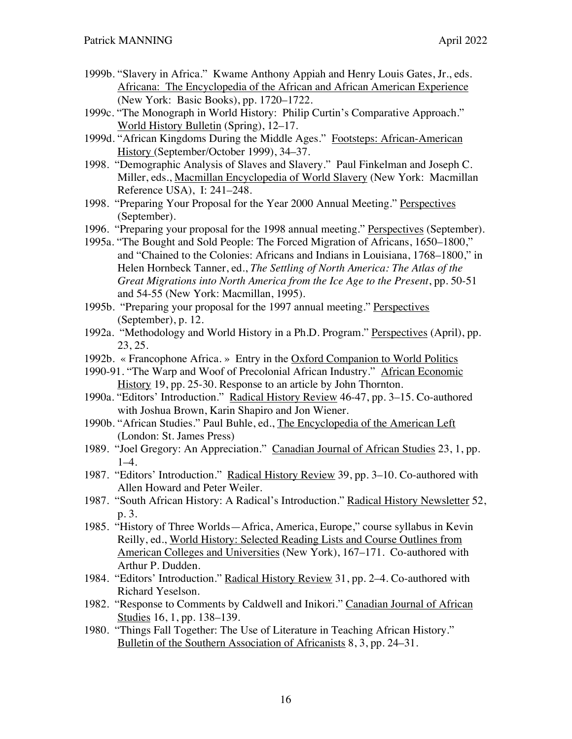- 1999b. "Slavery in Africa." Kwame Anthony Appiah and Henry Louis Gates, Jr., eds. Africana: The Encyclopedia of the African and African American Experience (New York: Basic Books), pp. 1720–1722.
- 1999c. "The Monograph in World History: Philip Curtin's Comparative Approach." World History Bulletin (Spring), 12–17.
- 1999d. "African Kingdoms During the Middle Ages." Footsteps: African-American History (September/October 1999), 34–37.
- 1998. "Demographic Analysis of Slaves and Slavery." Paul Finkelman and Joseph C. Miller, eds., Macmillan Encyclopedia of World Slavery (New York: Macmillan Reference USA), I: 241–248.
- 1998. "Preparing Your Proposal for the Year 2000 Annual Meeting." Perspectives (September).
- 1996. "Preparing your proposal for the 1998 annual meeting." Perspectives (September).
- 1995a. "The Bought and Sold People: The Forced Migration of Africans, 1650–1800," and "Chained to the Colonies: Africans and Indians in Louisiana, 1768–1800," in Helen Hornbeck Tanner, ed., *The Settling of North America: The Atlas of the Great Migrations into North America from the Ice Age to the Present*, pp. 50-51 and 54-55 (New York: Macmillan, 1995).
- 1995b. "Preparing your proposal for the 1997 annual meeting." Perspectives (September), p. 12.
- 1992a. "Methodology and World History in a Ph.D. Program." Perspectives (April), pp. 23, 25.
- 1992b. « Francophone Africa. » Entry in the Oxford Companion to World Politics
- 1990-91. "The Warp and Woof of Precolonial African Industry." African Economic History 19, pp. 25-30. Response to an article by John Thornton.
- 1990a. "Editors' Introduction." Radical History Review 46-47, pp. 3–15. Co-authored with Joshua Brown, Karin Shapiro and Jon Wiener.
- 1990b. "African Studies." Paul Buhle, ed., The Encyclopedia of the American Left (London: St. James Press)
- 1989. "Joel Gregory: An Appreciation." Canadian Journal of African Studies 23, 1, pp.  $1-4.$
- 1987. "Editors' Introduction." Radical History Review 39, pp. 3–10. Co-authored with Allen Howard and Peter Weiler.
- 1987. "South African History: A Radical's Introduction." Radical History Newsletter 52, p. 3.
- 1985. "History of Three Worlds—Africa, America, Europe," course syllabus in Kevin Reilly, ed., World History: Selected Reading Lists and Course Outlines from American Colleges and Universities (New York), 167–171. Co-authored with Arthur P. Dudden.
- 1984. "Editors' Introduction." Radical History Review 31, pp. 2–4. Co-authored with Richard Yeselson.
- 1982. "Response to Comments by Caldwell and Inikori." Canadian Journal of African Studies 16, 1, pp. 138–139.
- 1980. "Things Fall Together: The Use of Literature in Teaching African History." Bulletin of the Southern Association of Africanists 8, 3, pp. 24–31.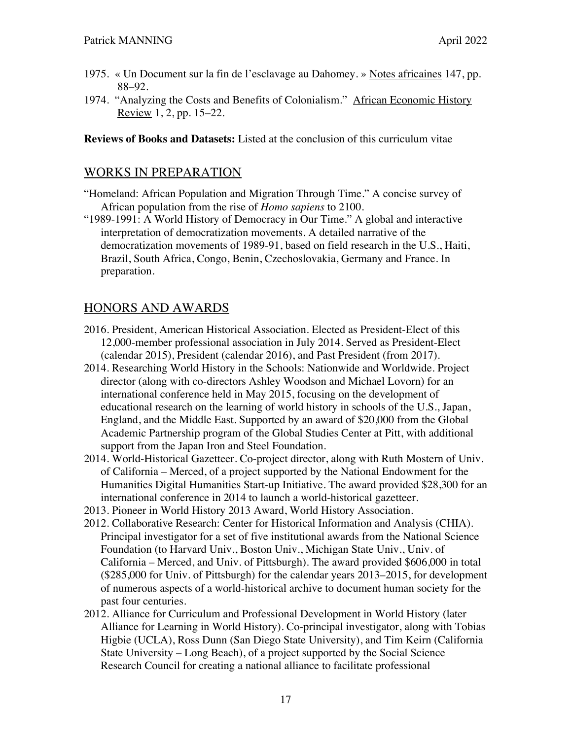- 1975. « Un Document sur la fin de l'esclavage au Dahomey. » Notes africaines 147, pp. 88–92.
- 1974. "Analyzing the Costs and Benefits of Colonialism." African Economic History Review 1, 2, pp. 15–22.

**Reviews of Books and Datasets:** Listed at the conclusion of this curriculum vitae

## WORKS IN PREPARATION

- "Homeland: African Population and Migration Through Time." A concise survey of African population from the rise of *Homo sapiens* to 2100.
- "1989-1991: A World History of Democracy in Our Time." A global and interactive interpretation of democratization movements. A detailed narrative of the democratization movements of 1989-91, based on field research in the U.S., Haiti, Brazil, South Africa, Congo, Benin, Czechoslovakia, Germany and France. In preparation.

# HONORS AND AWARDS

- 2016. President, American Historical Association. Elected as President-Elect of this 12,000-member professional association in July 2014. Served as President-Elect (calendar 2015), President (calendar 2016), and Past President (from 2017).
- 2014. Researching World History in the Schools: Nationwide and Worldwide. Project director (along with co-directors Ashley Woodson and Michael Lovorn) for an international conference held in May 2015, focusing on the development of educational research on the learning of world history in schools of the U.S., Japan, England, and the Middle East. Supported by an award of \$20,000 from the Global Academic Partnership program of the Global Studies Center at Pitt, with additional support from the Japan Iron and Steel Foundation.
- 2014. World-Historical Gazetteer. Co-project director, along with Ruth Mostern of Univ. of California – Merced, of a project supported by the National Endowment for the Humanities Digital Humanities Start-up Initiative. The award provided \$28,300 for an international conference in 2014 to launch a world-historical gazetteer.
- 2013. Pioneer in World History 2013 Award, World History Association.
- 2012. Collaborative Research: Center for Historical Information and Analysis (CHIA). Principal investigator for a set of five institutional awards from the National Science Foundation (to Harvard Univ., Boston Univ., Michigan State Univ., Univ. of California – Merced, and Univ. of Pittsburgh). The award provided \$606,000 in total (\$285,000 for Univ. of Pittsburgh) for the calendar years 2013–2015, for development of numerous aspects of a world-historical archive to document human society for the past four centuries.
- 2012. Alliance for Curriculum and Professional Development in World History (later Alliance for Learning in World History). Co-principal investigator, along with Tobias Higbie (UCLA), Ross Dunn (San Diego State University), and Tim Keirn (California State University – Long Beach), of a project supported by the Social Science Research Council for creating a national alliance to facilitate professional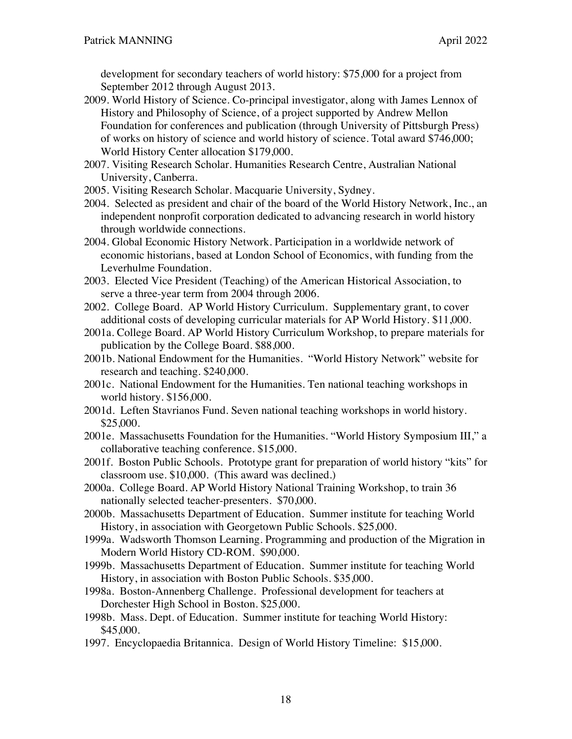development for secondary teachers of world history: \$75,000 for a project from September 2012 through August 2013.

- 2009. World History of Science. Co-principal investigator, along with James Lennox of History and Philosophy of Science, of a project supported by Andrew Mellon Foundation for conferences and publication (through University of Pittsburgh Press) of works on history of science and world history of science. Total award \$746,000; World History Center allocation \$179,000.
- 2007. Visiting Research Scholar. Humanities Research Centre, Australian National University, Canberra.
- 2005. Visiting Research Scholar. Macquarie University, Sydney.
- 2004. Selected as president and chair of the board of the World History Network, Inc., an independent nonprofit corporation dedicated to advancing research in world history through worldwide connections.
- 2004. Global Economic History Network. Participation in a worldwide network of economic historians, based at London School of Economics, with funding from the Leverhulme Foundation.
- 2003. Elected Vice President (Teaching) of the American Historical Association, to serve a three-year term from 2004 through 2006.
- 2002. College Board. AP World History Curriculum. Supplementary grant, to cover additional costs of developing curricular materials for AP World History. \$11,000.
- 2001a. College Board. AP World History Curriculum Workshop, to prepare materials for publication by the College Board. \$88,000.
- 2001b. National Endowment for the Humanities. "World History Network" website for research and teaching. \$240,000.
- 2001c. National Endowment for the Humanities. Ten national teaching workshops in world history. \$156,000.
- 2001d. Leften Stavrianos Fund. Seven national teaching workshops in world history. \$25,000.
- 2001e. Massachusetts Foundation for the Humanities. "World History Symposium III," a collaborative teaching conference. \$15,000.
- 2001f. Boston Public Schools. Prototype grant for preparation of world history "kits" for classroom use. \$10,000. (This award was declined.)
- 2000a. College Board. AP World History National Training Workshop, to train 36 nationally selected teacher-presenters. \$70,000.
- 2000b. Massachusetts Department of Education. Summer institute for teaching World History, in association with Georgetown Public Schools. \$25,000.
- 1999a. Wadsworth Thomson Learning. Programming and production of the Migration in Modern World History CD-ROM. \$90,000.
- 1999b. Massachusetts Department of Education. Summer institute for teaching World History, in association with Boston Public Schools. \$35,000.
- 1998a. Boston-Annenberg Challenge. Professional development for teachers at Dorchester High School in Boston. \$25,000.
- 1998b. Mass. Dept. of Education. Summer institute for teaching World History: \$45,000.
- 1997. Encyclopaedia Britannica. Design of World History Timeline: \$15,000.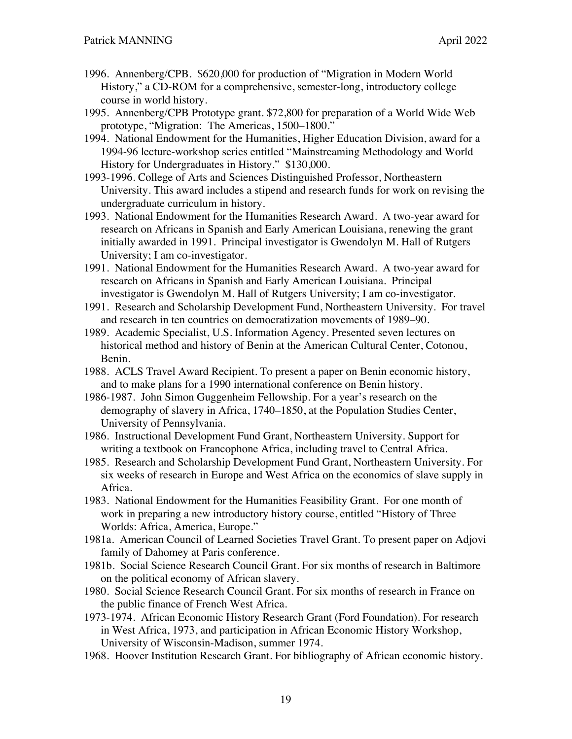- 1996. Annenberg/CPB. \$620,000 for production of "Migration in Modern World History," a CD-ROM for a comprehensive, semester-long, introductory college course in world history.
- 1995. Annenberg/CPB Prototype grant. \$72,800 for preparation of a World Wide Web prototype, "Migration: The Americas, 1500–1800."
- 1994. National Endowment for the Humanities, Higher Education Division, award for a 1994-96 lecture-workshop series entitled "Mainstreaming Methodology and World History for Undergraduates in History." \$130,000.
- 1993-1996. College of Arts and Sciences Distinguished Professor, Northeastern University. This award includes a stipend and research funds for work on revising the undergraduate curriculum in history.
- 1993. National Endowment for the Humanities Research Award. A two-year award for research on Africans in Spanish and Early American Louisiana, renewing the grant initially awarded in 1991. Principal investigator is Gwendolyn M. Hall of Rutgers University; I am co-investigator.
- 1991. National Endowment for the Humanities Research Award. A two-year award for research on Africans in Spanish and Early American Louisiana. Principal investigator is Gwendolyn M. Hall of Rutgers University; I am co-investigator.
- 1991. Research and Scholarship Development Fund, Northeastern University. For travel and research in ten countries on democratization movements of 1989–90.
- 1989. Academic Specialist, U.S. Information Agency. Presented seven lectures on historical method and history of Benin at the American Cultural Center, Cotonou, Benin.
- 1988. ACLS Travel Award Recipient. To present a paper on Benin economic history, and to make plans for a 1990 international conference on Benin history.
- 1986-1987. John Simon Guggenheim Fellowship. For a year's research on the demography of slavery in Africa, 1740–1850, at the Population Studies Center, University of Pennsylvania.
- 1986. Instructional Development Fund Grant, Northeastern University. Support for writing a textbook on Francophone Africa, including travel to Central Africa.
- 1985. Research and Scholarship Development Fund Grant, Northeastern University. For six weeks of research in Europe and West Africa on the economics of slave supply in Africa.
- 1983. National Endowment for the Humanities Feasibility Grant. For one month of work in preparing a new introductory history course, entitled "History of Three Worlds: Africa, America, Europe."
- 1981a. American Council of Learned Societies Travel Grant. To present paper on Adjovi family of Dahomey at Paris conference.
- 1981b. Social Science Research Council Grant. For six months of research in Baltimore on the political economy of African slavery.
- 1980. Social Science Research Council Grant. For six months of research in France on the public finance of French West Africa.
- 1973-1974. African Economic History Research Grant (Ford Foundation). For research in West Africa, 1973, and participation in African Economic History Workshop, University of Wisconsin-Madison, summer 1974.
- 1968. Hoover Institution Research Grant. For bibliography of African economic history.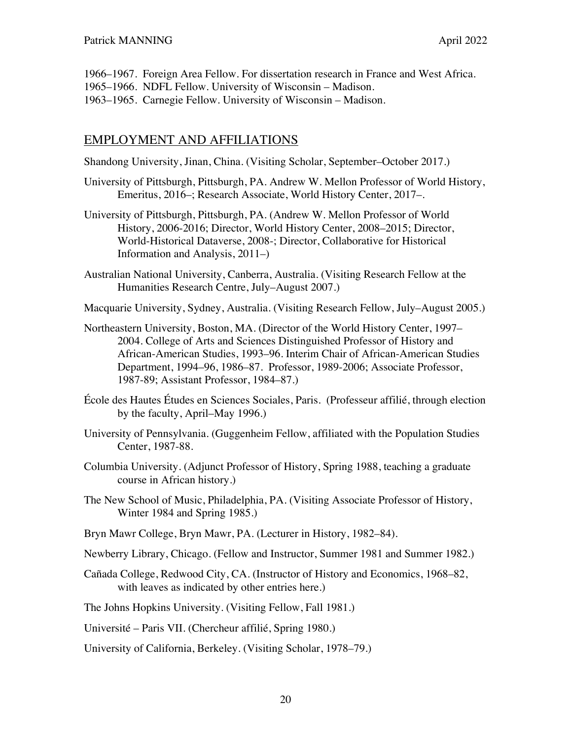- 1966–1967. Foreign Area Fellow. For dissertation research in France and West Africa.
- 1965–1966. NDFL Fellow. University of Wisconsin Madison.
- 1963–1965. Carnegie Fellow. University of Wisconsin Madison.

## EMPLOYMENT AND AFFILIATIONS

Shandong University, Jinan, China. (Visiting Scholar, September–October 2017.)

- University of Pittsburgh, Pittsburgh, PA. Andrew W. Mellon Professor of World History, Emeritus, 2016–; Research Associate, World History Center, 2017–.
- University of Pittsburgh, Pittsburgh, PA. (Andrew W. Mellon Professor of World History, 2006-2016; Director, World History Center, 2008–2015; Director, World-Historical Dataverse, 2008-; Director, Collaborative for Historical Information and Analysis, 2011–)
- Australian National University, Canberra, Australia. (Visiting Research Fellow at the Humanities Research Centre, July–August 2007.)

Macquarie University, Sydney, Australia. (Visiting Research Fellow, July–August 2005.)

- Northeastern University, Boston, MA. (Director of the World History Center, 1997– 2004. College of Arts and Sciences Distinguished Professor of History and African-American Studies, 1993–96. Interim Chair of African-American Studies Department, 1994–96, 1986–87. Professor, 1989-2006; Associate Professor, 1987-89; Assistant Professor, 1984–87.)
- École des Hautes Études en Sciences Sociales, Paris. (Professeur affilié, through election by the faculty, April–May 1996.)
- University of Pennsylvania. (Guggenheim Fellow, affiliated with the Population Studies Center, 1987-88.
- Columbia University. (Adjunct Professor of History, Spring 1988, teaching a graduate course in African history.)
- The New School of Music, Philadelphia, PA. (Visiting Associate Professor of History, Winter 1984 and Spring 1985.)
- Bryn Mawr College, Bryn Mawr, PA. (Lecturer in History, 1982–84).
- Newberry Library, Chicago. (Fellow and Instructor, Summer 1981 and Summer 1982.)
- Cañada College, Redwood City, CA. (Instructor of History and Economics, 1968–82, with leaves as indicated by other entries here.)
- The Johns Hopkins University. (Visiting Fellow, Fall 1981.)

Université – Paris VII. (Chercheur affilié, Spring 1980.)

University of California, Berkeley. (Visiting Scholar, 1978–79.)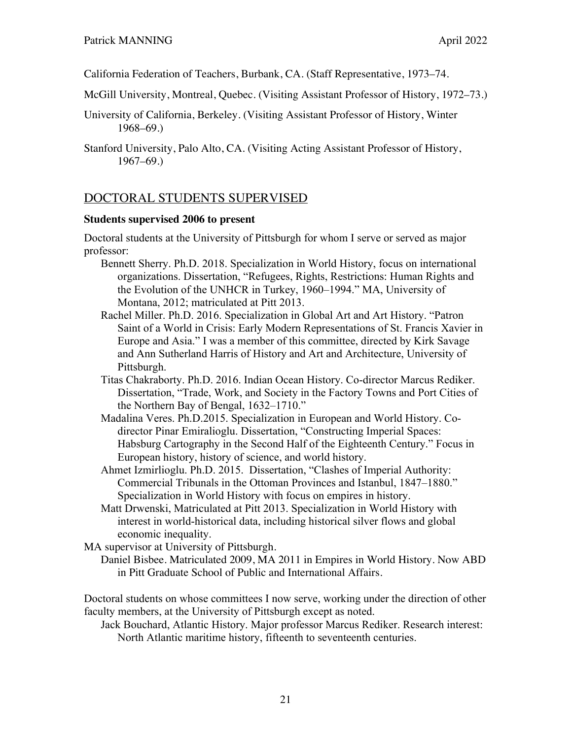California Federation of Teachers, Burbank, CA. (Staff Representative, 1973–74.

McGill University, Montreal, Quebec. (Visiting Assistant Professor of History, 1972–73.)

University of California, Berkeley. (Visiting Assistant Professor of History, Winter 1968–69.)

## DOCTORAL STUDENTS SUPERVISED

### **Students supervised 2006 to present**

Doctoral students at the University of Pittsburgh for whom I serve or served as major professor:

- Bennett Sherry. Ph.D. 2018. Specialization in World History, focus on international organizations. Dissertation, "Refugees, Rights, Restrictions: Human Rights and the Evolution of the UNHCR in Turkey, 1960–1994." MA, University of Montana, 2012; matriculated at Pitt 2013.
- Rachel Miller. Ph.D. 2016. Specialization in Global Art and Art History. "Patron Saint of a World in Crisis: Early Modern Representations of St. Francis Xavier in Europe and Asia." I was a member of this committee, directed by Kirk Savage and Ann Sutherland Harris of History and Art and Architecture, University of Pittsburgh.
- Titas Chakraborty. Ph.D. 2016. Indian Ocean History. Co-director Marcus Rediker. Dissertation, "Trade, Work, and Society in the Factory Towns and Port Cities of the Northern Bay of Bengal, 1632–1710."
- Madalina Veres. Ph.D.2015. Specialization in European and World History. Codirector Pinar Emiralioglu. Dissertation, "Constructing Imperial Spaces: Habsburg Cartography in the Second Half of the Eighteenth Century." Focus in European history, history of science, and world history.
- Ahmet Izmirlioglu. Ph.D. 2015. Dissertation, "Clashes of Imperial Authority: Commercial Tribunals in the Ottoman Provinces and Istanbul, 1847–1880." Specialization in World History with focus on empires in history.
- Matt Drwenski, Matriculated at Pitt 2013. Specialization in World History with interest in world-historical data, including historical silver flows and global economic inequality.

MA supervisor at University of Pittsburgh.

Daniel Bisbee. Matriculated 2009, MA 2011 in Empires in World History. Now ABD in Pitt Graduate School of Public and International Affairs.

Doctoral students on whose committees I now serve, working under the direction of other faculty members, at the University of Pittsburgh except as noted.

Jack Bouchard, Atlantic History. Major professor Marcus Rediker. Research interest: North Atlantic maritime history, fifteenth to seventeenth centuries.

Stanford University, Palo Alto, CA. (Visiting Acting Assistant Professor of History, 1967–69.)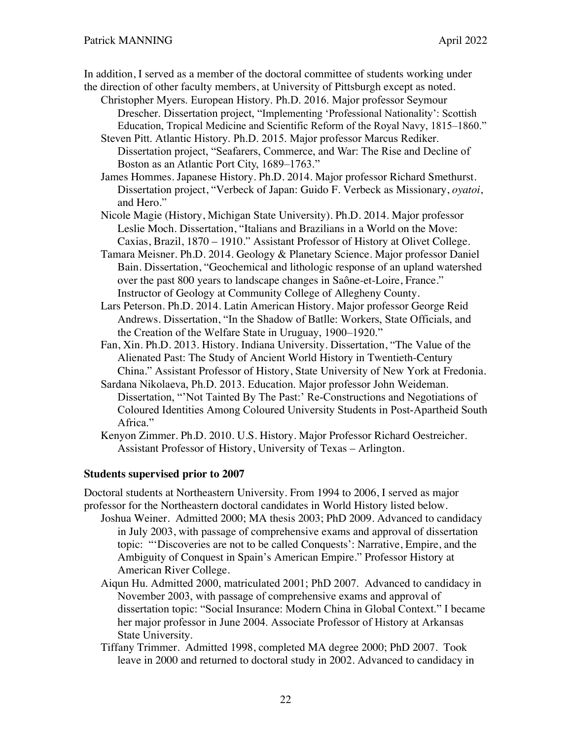In addition, I served as a member of the doctoral committee of students working under the direction of other faculty members, at University of Pittsburgh except as noted.

- Christopher Myers. European History. Ph.D. 2016. Major professor Seymour Drescher. Dissertation project, "Implementing 'Professional Nationality': Scottish Education, Tropical Medicine and Scientific Reform of the Royal Navy, 1815–1860."
- Steven Pitt. Atlantic History. Ph.D. 2015. Major professor Marcus Rediker. Dissertation project, "Seafarers, Commerce, and War: The Rise and Decline of Boston as an Atlantic Port City, 1689–1763."
- James Hommes. Japanese History. Ph.D. 2014. Major professor Richard Smethurst. Dissertation project, "Verbeck of Japan: Guido F. Verbeck as Missionary, *oyatoi*, and Hero."

Nicole Magie (History, Michigan State University). Ph.D. 2014. Major professor Leslie Moch. Dissertation, "Italians and Brazilians in a World on the Move: Caxias, Brazil, 1870 – 1910." Assistant Professor of History at Olivet College.

- Tamara Meisner. Ph.D. 2014. Geology & Planetary Science. Major professor Daniel Bain. Dissertation, "Geochemical and lithologic response of an upland watershed over the past 800 years to landscape changes in Saône-et-Loire, France." Instructor of Geology at Community College of Allegheny County.
- Lars Peterson. Ph.D. 2014. Latin American History. Major professor George Reid Andrews. Dissertation, "In the Shadow of Batlle: Workers, State Officials, and the Creation of the Welfare State in Uruguay, 1900–1920."
- Fan, Xin. Ph.D. 2013. History. Indiana University. Dissertation, "The Value of the Alienated Past: The Study of Ancient World History in Twentieth-Century China." Assistant Professor of History, State University of New York at Fredonia.
- Sardana Nikolaeva, Ph.D. 2013. Education. Major professor John Weideman. Dissertation, "'Not Tainted By The Past:' Re-Constructions and Negotiations of Coloured Identities Among Coloured University Students in Post-Apartheid South Africa."

Kenyon Zimmer. Ph.D. 2010. U.S. History. Major Professor Richard Oestreicher. Assistant Professor of History, University of Texas – Arlington.

#### **Students supervised prior to 2007**

Doctoral students at Northeastern University. From 1994 to 2006, I served as major professor for the Northeastern doctoral candidates in World History listed below.

- Joshua Weiner. Admitted 2000; MA thesis 2003; PhD 2009. Advanced to candidacy in July 2003, with passage of comprehensive exams and approval of dissertation topic: "'Discoveries are not to be called Conquests': Narrative, Empire, and the Ambiguity of Conquest in Spain's American Empire." Professor History at American River College.
	- Aiqun Hu. Admitted 2000, matriculated 2001; PhD 2007. Advanced to candidacy in November 2003, with passage of comprehensive exams and approval of dissertation topic: "Social Insurance: Modern China in Global Context." I became her major professor in June 2004. Associate Professor of History at Arkansas State University.
	- Tiffany Trimmer. Admitted 1998, completed MA degree 2000; PhD 2007. Took leave in 2000 and returned to doctoral study in 2002. Advanced to candidacy in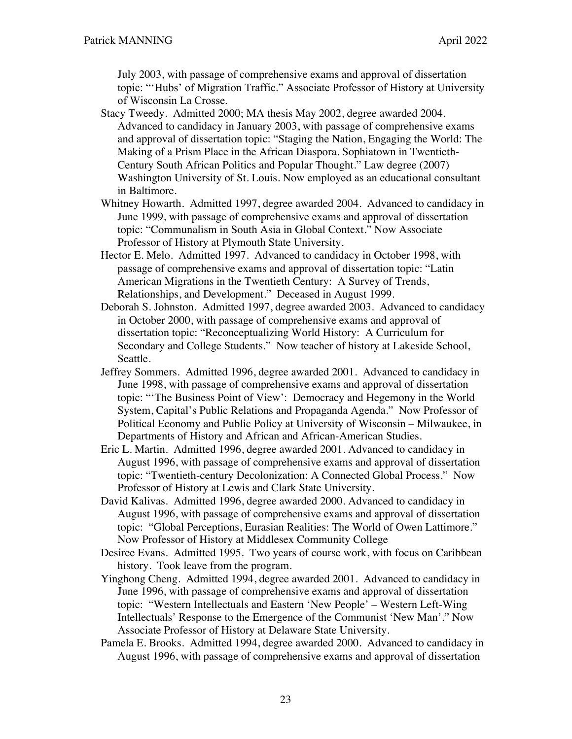July 2003, with passage of comprehensive exams and approval of dissertation topic: "'Hubs' of Migration Traffic." Associate Professor of History at University of Wisconsin La Crosse.

- Stacy Tweedy. Admitted 2000; MA thesis May 2002, degree awarded 2004. Advanced to candidacy in January 2003, with passage of comprehensive exams and approval of dissertation topic: "Staging the Nation, Engaging the World: The Making of a Prism Place in the African Diaspora. Sophiatown in Twentieth-Century South African Politics and Popular Thought." Law degree (2007) Washington University of St. Louis. Now employed as an educational consultant in Baltimore.
- Whitney Howarth. Admitted 1997, degree awarded 2004. Advanced to candidacy in June 1999, with passage of comprehensive exams and approval of dissertation topic: "Communalism in South Asia in Global Context." Now Associate Professor of History at Plymouth State University.
- Hector E. Melo. Admitted 1997. Advanced to candidacy in October 1998, with passage of comprehensive exams and approval of dissertation topic: "Latin American Migrations in the Twentieth Century: A Survey of Trends, Relationships, and Development." Deceased in August 1999.
- Deborah S. Johnston. Admitted 1997, degree awarded 2003. Advanced to candidacy in October 2000, with passage of comprehensive exams and approval of dissertation topic: "Reconceptualizing World History: A Curriculum for Secondary and College Students." Now teacher of history at Lakeside School, Seattle.
- Jeffrey Sommers. Admitted 1996, degree awarded 2001. Advanced to candidacy in June 1998, with passage of comprehensive exams and approval of dissertation topic: "'The Business Point of View': Democracy and Hegemony in the World System, Capital's Public Relations and Propaganda Agenda." Now Professor of Political Economy and Public Policy at University of Wisconsin – Milwaukee, in Departments of History and African and African-American Studies.
- Eric L. Martin. Admitted 1996, degree awarded 2001. Advanced to candidacy in August 1996, with passage of comprehensive exams and approval of dissertation topic: "Twentieth-century Decolonization: A Connected Global Process." Now Professor of History at Lewis and Clark State University.
- David Kalivas. Admitted 1996, degree awarded 2000. Advanced to candidacy in August 1996, with passage of comprehensive exams and approval of dissertation topic: "Global Perceptions, Eurasian Realities: The World of Owen Lattimore." Now Professor of History at Middlesex Community College
- Desiree Evans. Admitted 1995. Two years of course work, with focus on Caribbean history. Took leave from the program.
- Yinghong Cheng. Admitted 1994, degree awarded 2001. Advanced to candidacy in June 1996, with passage of comprehensive exams and approval of dissertation topic: "Western Intellectuals and Eastern 'New People' – Western Left-Wing Intellectuals' Response to the Emergence of the Communist 'New Man'." Now Associate Professor of History at Delaware State University.
- Pamela E. Brooks. Admitted 1994, degree awarded 2000. Advanced to candidacy in August 1996, with passage of comprehensive exams and approval of dissertation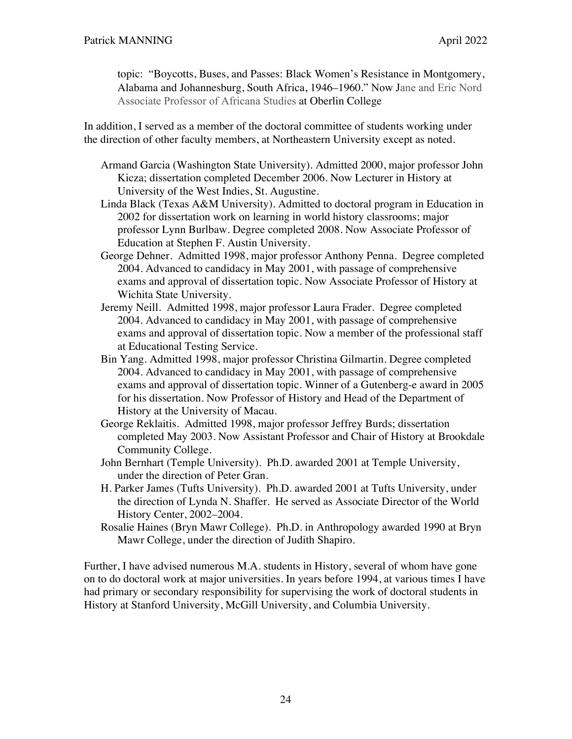topic: "Boycotts, Buses, and Passes: Black Women's Resistance in Montgomery, Alabama and Johannesburg, South Africa, 1946–1960." Now Jane and Eric Nord Associate Professor of Africana Studies at Oberlin College

In addition, I served as a member of the doctoral committee of students working under the direction of other faculty members, at Northeastern University except as noted.

- Armand Garcia (Washington State University). Admitted 2000, major professor John Kicza; dissertation completed December 2006. Now Lecturer in History at University of the West Indies, St. Augustine.
- Linda Black (Texas A&M University). Admitted to doctoral program in Education in 2002 for dissertation work on learning in world history classrooms; major professor Lynn Burlbaw. Degree completed 2008. Now Associate Professor of Education at Stephen F. Austin University.
- George Dehner. Admitted 1998, major professor Anthony Penna. Degree completed 2004. Advanced to candidacy in May 2001, with passage of comprehensive exams and approval of dissertation topic. Now Associate Professor of History at Wichita State University.
- Jeremy Neill. Admitted 1998, major professor Laura Frader. Degree completed 2004. Advanced to candidacy in May 2001, with passage of comprehensive exams and approval of dissertation topic. Now a member of the professional staff at Educational Testing Service.
- Bin Yang. Admitted 1998, major professor Christina Gilmartin. Degree completed 2004. Advanced to candidacy in May 2001, with passage of comprehensive exams and approval of dissertation topic. Winner of a Gutenberg-e award in 2005 for his dissertation. Now Professor of History and Head of the Department of History at the University of Macau.
- George Reklaitis. Admitted 1998, major professor Jeffrey Burds; dissertation completed May 2003. Now Assistant Professor and Chair of History at Brookdale Community College.
- John Bernhart (Temple University). Ph.D. awarded 2001 at Temple University, under the direction of Peter Gran.
- H. Parker James (Tufts University). Ph.D. awarded 2001 at Tufts University, under the direction of Lynda N. Shaffer. He served as Associate Director of the World History Center, 2002–2004.
- Rosalie Haines (Bryn Mawr College). Ph.D. in Anthropology awarded 1990 at Bryn Mawr College, under the direction of Judith Shapiro.

Further, I have advised numerous M.A. students in History, several of whom have gone on to do doctoral work at major universities. In years before 1994, at various times I have had primary or secondary responsibility for supervising the work of doctoral students in History at Stanford University, McGill University, and Columbia University.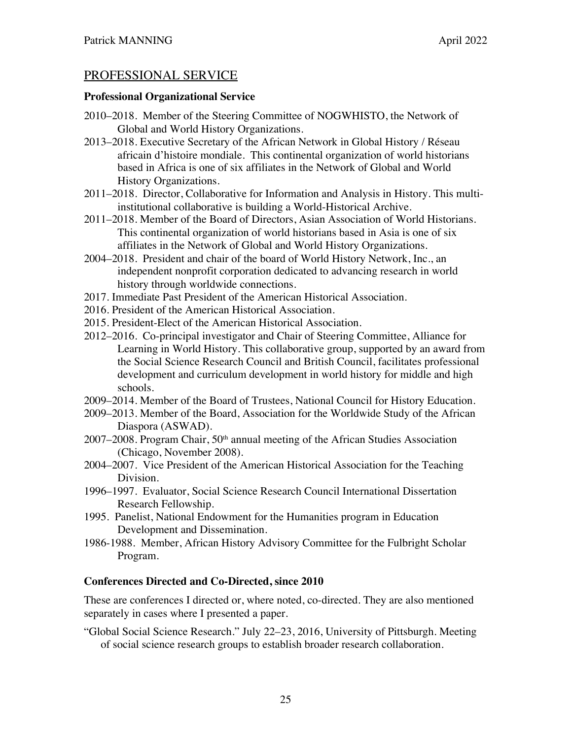## PROFESSIONAL SERVICE

#### **Professional Organizational Service**

- 2010–2018. Member of the Steering Committee of NOGWHISTO, the Network of Global and World History Organizations.
- 2013–2018. Executive Secretary of the African Network in Global History / Réseau africain d'histoire mondiale. This continental organization of world historians based in Africa is one of six affiliates in the Network of Global and World History Organizations.
- 2011–2018. Director, Collaborative for Information and Analysis in History. This multiinstitutional collaborative is building a World-Historical Archive.
- 2011–2018. Member of the Board of Directors, Asian Association of World Historians. This continental organization of world historians based in Asia is one of six affiliates in the Network of Global and World History Organizations.
- 2004–2018. President and chair of the board of World History Network, Inc., an independent nonprofit corporation dedicated to advancing research in world history through worldwide connections.
- 2017. Immediate Past President of the American Historical Association.
- 2016. President of the American Historical Association.
- 2015. President-Elect of the American Historical Association.
- 2012–2016. Co-principal investigator and Chair of Steering Committee, Alliance for Learning in World History. This collaborative group, supported by an award from the Social Science Research Council and British Council, facilitates professional development and curriculum development in world history for middle and high schools.
- 2009–2014. Member of the Board of Trustees, National Council for History Education.
- 2009–2013. Member of the Board, Association for the Worldwide Study of the African Diaspora (ASWAD).
- $2007-2008$ . Program Chair,  $50<sup>th</sup>$  annual meeting of the African Studies Association (Chicago, November 2008).
- 2004–2007. Vice President of the American Historical Association for the Teaching Division.
- 1996–1997. Evaluator, Social Science Research Council International Dissertation Research Fellowship.
- 1995. Panelist, National Endowment for the Humanities program in Education Development and Dissemination.
- 1986-1988. Member, African History Advisory Committee for the Fulbright Scholar Program.

## **Conferences Directed and Co-Directed, since 2010**

These are conferences I directed or, where noted, co-directed. They are also mentioned separately in cases where I presented a paper.

"Global Social Science Research." July 22–23, 2016, University of Pittsburgh. Meeting of social science research groups to establish broader research collaboration.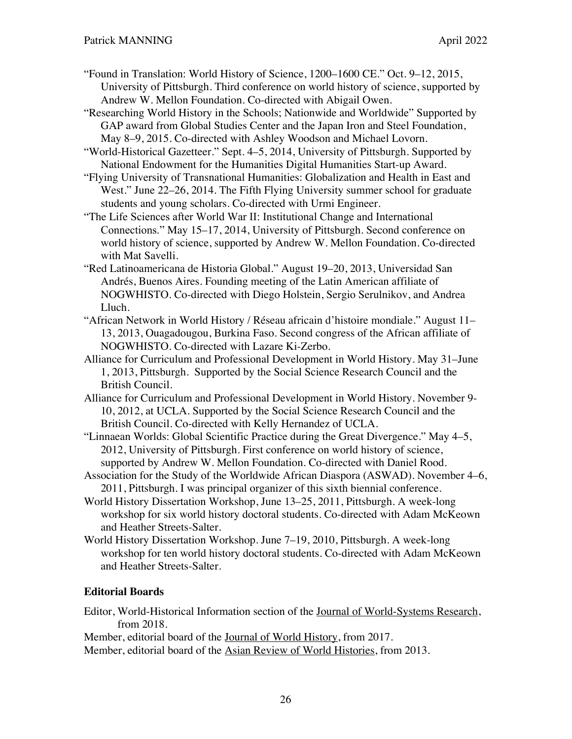"Found in Translation: World History of Science, 1200–1600 CE." Oct. 9–12, 2015, University of Pittsburgh. Third conference on world history of science, supported by Andrew W. Mellon Foundation. Co-directed with Abigail Owen.

"Researching World History in the Schools; Nationwide and Worldwide" Supported by GAP award from Global Studies Center and the Japan Iron and Steel Foundation, May 8–9, 2015. Co-directed with Ashley Woodson and Michael Lovorn.

"World-Historical Gazetteer." Sept. 4–5, 2014, University of Pittsburgh. Supported by National Endowment for the Humanities Digital Humanities Start-up Award.

"Flying University of Transnational Humanities: Globalization and Health in East and West." June 22–26, 2014. The Fifth Flying University summer school for graduate students and young scholars. Co-directed with Urmi Engineer.

"The Life Sciences after World War II: Institutional Change and International Connections." May 15–17, 2014, University of Pittsburgh. Second conference on world history of science, supported by Andrew W. Mellon Foundation. Co-directed with Mat Savelli.

"Red Latinoamericana de Historia Global." August 19–20, 2013, Universidad San Andrés, Buenos Aires. Founding meeting of the Latin American affiliate of NOGWHISTO. Co-directed with Diego Holstein, Sergio Serulnikov, and Andrea Lluch.

- "African Network in World History / Réseau africain d'histoire mondiale." August 11– 13, 2013, Ouagadougou, Burkina Faso. Second congress of the African affiliate of NOGWHISTO. Co-directed with Lazare Ki-Zerbo.
- Alliance for Curriculum and Professional Development in World History. May 31–June 1, 2013, Pittsburgh. Supported by the Social Science Research Council and the British Council.
- Alliance for Curriculum and Professional Development in World History. November 9- 10, 2012, at UCLA. Supported by the Social Science Research Council and the British Council. Co-directed with Kelly Hernandez of UCLA.
- "Linnaean Worlds: Global Scientific Practice during the Great Divergence." May 4–5, 2012, University of Pittsburgh. First conference on world history of science, supported by Andrew W. Mellon Foundation. Co-directed with Daniel Rood.

Association for the Study of the Worldwide African Diaspora (ASWAD). November 4–6, 2011, Pittsburgh. I was principal organizer of this sixth biennial conference.

- World History Dissertation Workshop, June 13–25, 2011, Pittsburgh. A week-long workshop for six world history doctoral students. Co-directed with Adam McKeown and Heather Streets-Salter.
- World History Dissertation Workshop. June 7–19, 2010, Pittsburgh. A week-long workshop for ten world history doctoral students. Co-directed with Adam McKeown and Heather Streets-Salter.

## **Editorial Boards**

Editor, World-Historical Information section of the Journal of World-Systems Research, from 2018.

Member, editorial board of the Journal of World History, from 2017. Member, editorial board of the Asian Review of World Histories, from 2013.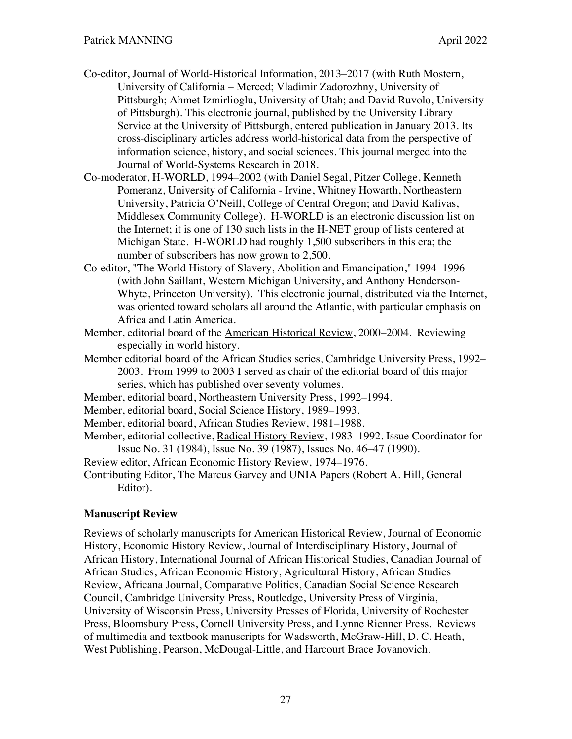- Co-editor, Journal of World-Historical Information, 2013–2017 (with Ruth Mostern, University of California – Merced; Vladimir Zadorozhny, University of Pittsburgh; Ahmet Izmirlioglu, University of Utah; and David Ruvolo, University of Pittsburgh). This electronic journal, published by the University Library Service at the University of Pittsburgh, entered publication in January 2013. Its cross-disciplinary articles address world-historical data from the perspective of information science, history, and social sciences. This journal merged into the Journal of World-Systems Research in 2018.
- Co-moderator, H-WORLD, 1994–2002 (with Daniel Segal, Pitzer College, Kenneth Pomeranz, University of California - Irvine, Whitney Howarth, Northeastern University, Patricia O'Neill, College of Central Oregon; and David Kalivas, Middlesex Community College). H-WORLD is an electronic discussion list on the Internet; it is one of 130 such lists in the H-NET group of lists centered at Michigan State. H-WORLD had roughly 1,500 subscribers in this era; the number of subscribers has now grown to 2,500.
- Co-editor, "The World History of Slavery, Abolition and Emancipation," 1994–1996 (with John Saillant, Western Michigan University, and Anthony Henderson-Whyte, Princeton University). This electronic journal, distributed via the Internet, was oriented toward scholars all around the Atlantic, with particular emphasis on Africa and Latin America.
- Member, editorial board of the American Historical Review, 2000–2004. Reviewing especially in world history.
- Member editorial board of the African Studies series, Cambridge University Press, 1992– 2003. From 1999 to 2003 I served as chair of the editorial board of this major series, which has published over seventy volumes.
- Member, editorial board, Northeastern University Press, 1992–1994.

Member, editorial board, Social Science History, 1989–1993.

- Member, editorial board, African Studies Review, 1981–1988.
- Member, editorial collective, Radical History Review, 1983–1992. Issue Coordinator for Issue No. 31 (1984), Issue No. 39 (1987), Issues No. 46–47 (1990).

Review editor, African Economic History Review, 1974–1976.

Contributing Editor, The Marcus Garvey and UNIA Papers (Robert A. Hill, General Editor).

## **Manuscript Review**

Reviews of scholarly manuscripts for American Historical Review, Journal of Economic History, Economic History Review, Journal of Interdisciplinary History, Journal of African History, International Journal of African Historical Studies, Canadian Journal of African Studies, African Economic History, Agricultural History, African Studies Review, Africana Journal, Comparative Politics, Canadian Social Science Research Council, Cambridge University Press, Routledge, University Press of Virginia, University of Wisconsin Press, University Presses of Florida, University of Rochester Press, Bloomsbury Press, Cornell University Press, and Lynne Rienner Press. Reviews of multimedia and textbook manuscripts for Wadsworth, McGraw-Hill, D. C. Heath, West Publishing, Pearson, McDougal-Little, and Harcourt Brace Jovanovich.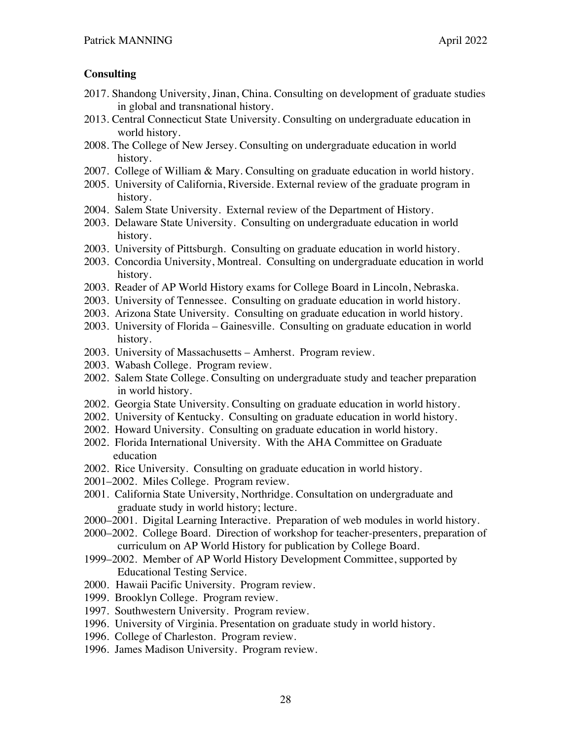### **Consulting**

- 2017. Shandong University, Jinan, China. Consulting on development of graduate studies in global and transnational history.
- 2013. Central Connecticut State University. Consulting on undergraduate education in world history.
- 2008. The College of New Jersey. Consulting on undergraduate education in world history.
- 2007. College of William & Mary. Consulting on graduate education in world history.
- 2005. University of California, Riverside. External review of the graduate program in history.
- 2004. Salem State University. External review of the Department of History.
- 2003. Delaware State University. Consulting on undergraduate education in world history.
- 2003. University of Pittsburgh. Consulting on graduate education in world history.
- 2003. Concordia University, Montreal. Consulting on undergraduate education in world history.
- 2003. Reader of AP World History exams for College Board in Lincoln, Nebraska.
- 2003. University of Tennessee. Consulting on graduate education in world history.
- 2003. Arizona State University. Consulting on graduate education in world history.
- 2003. University of Florida Gainesville. Consulting on graduate education in world history.
- 2003. University of Massachusetts Amherst. Program review.
- 2003. Wabash College. Program review.
- 2002. Salem State College. Consulting on undergraduate study and teacher preparation in world history.
- 2002. Georgia State University. Consulting on graduate education in world history.
- 2002. University of Kentucky. Consulting on graduate education in world history.
- 2002. Howard University. Consulting on graduate education in world history.
- 2002. Florida International University. With the AHA Committee on Graduate education
- 2002. Rice University. Consulting on graduate education in world history.
- 2001–2002. Miles College. Program review.
- 2001. California State University, Northridge. Consultation on undergraduate and graduate study in world history; lecture.
- 2000–2001. Digital Learning Interactive. Preparation of web modules in world history.
- 2000–2002. College Board. Direction of workshop for teacher-presenters, preparation of curriculum on AP World History for publication by College Board.
- 1999–2002. Member of AP World History Development Committee, supported by Educational Testing Service.
- 2000. Hawaii Pacific University. Program review.
- 1999. Brooklyn College. Program review.
- 1997. Southwestern University. Program review.
- 1996. University of Virginia. Presentation on graduate study in world history.
- 1996. College of Charleston. Program review.
- 1996. James Madison University. Program review.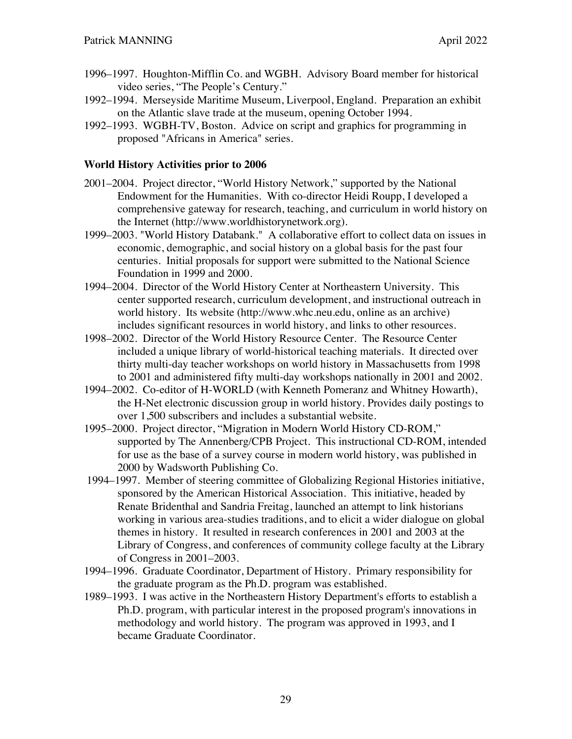- 1996–1997. Houghton-Mifflin Co. and WGBH. Advisory Board member for historical video series, "The People's Century."
- 1992–1994. Merseyside Maritime Museum, Liverpool, England. Preparation an exhibit on the Atlantic slave trade at the museum, opening October 1994.
- 1992–1993. WGBH-TV, Boston. Advice on script and graphics for programming in proposed "Africans in America" series.

### **World History Activities prior to 2006**

- 2001–2004. Project director, "World History Network," supported by the National Endowment for the Humanities. With co-director Heidi Roupp, I developed a comprehensive gateway for research, teaching, and curriculum in world history on the Internet (http://www.worldhistorynetwork.org).
- 1999–2003. "World History Databank." A collaborative effort to collect data on issues in economic, demographic, and social history on a global basis for the past four centuries. Initial proposals for support were submitted to the National Science Foundation in 1999 and 2000.
- 1994–2004. Director of the World History Center at Northeastern University. This center supported research, curriculum development, and instructional outreach in world history. Its website (http://www.whc.neu.edu, online as an archive) includes significant resources in world history, and links to other resources.
- 1998–2002. Director of the World History Resource Center. The Resource Center included a unique library of world-historical teaching materials. It directed over thirty multi-day teacher workshops on world history in Massachusetts from 1998 to 2001 and administered fifty multi-day workshops nationally in 2001 and 2002.
- 1994–2002. Co-editor of H-WORLD (with Kenneth Pomeranz and Whitney Howarth), the H-Net electronic discussion group in world history. Provides daily postings to over 1,500 subscribers and includes a substantial website.
- 1995–2000. Project director, "Migration in Modern World History CD-ROM," supported by The Annenberg/CPB Project. This instructional CD-ROM, intended for use as the base of a survey course in modern world history, was published in 2000 by Wadsworth Publishing Co.
- 1994–1997. Member of steering committee of Globalizing Regional Histories initiative, sponsored by the American Historical Association. This initiative, headed by Renate Bridenthal and Sandria Freitag, launched an attempt to link historians working in various area-studies traditions, and to elicit a wider dialogue on global themes in history. It resulted in research conferences in 2001 and 2003 at the Library of Congress, and conferences of community college faculty at the Library of Congress in 2001–2003.
- 1994–1996. Graduate Coordinator, Department of History. Primary responsibility for the graduate program as the Ph.D. program was established.
- 1989–1993. I was active in the Northeastern History Department's efforts to establish a Ph.D. program, with particular interest in the proposed program's innovations in methodology and world history. The program was approved in 1993, and I became Graduate Coordinator.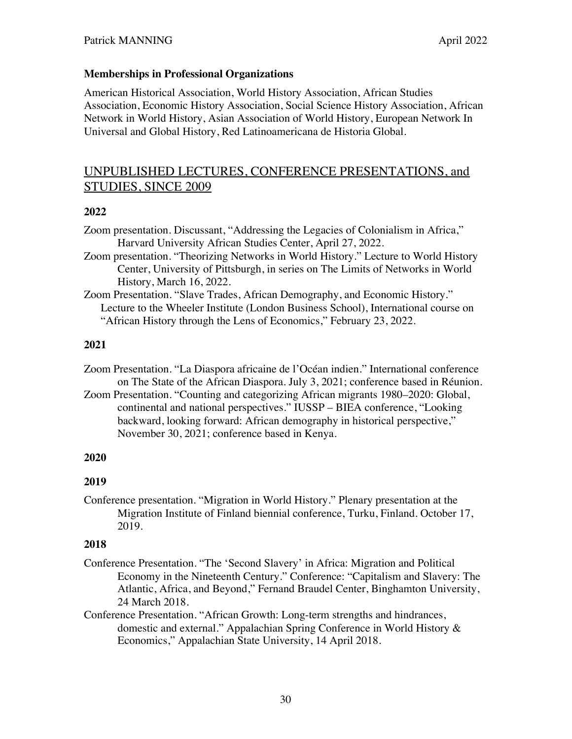#### **Memberships in Professional Organizations**

American Historical Association, World History Association, African Studies Association, Economic History Association, Social Science History Association, African Network in World History, Asian Association of World History, European Network In Universal and Global History, Red Latinoamericana de Historia Global.

# UNPUBLISHED LECTURES, CONFERENCE PRESENTATIONS, and STUDIES, SINCE 2009

#### **2022**

Zoom presentation. Discussant, "Addressing the Legacies of Colonialism in Africa," Harvard University African Studies Center, April 27, 2022.

- Zoom presentation. "Theorizing Networks in World History." Lecture to World History Center, University of Pittsburgh, in series on The Limits of Networks in World History, March 16, 2022.
- Zoom Presentation. "Slave Trades, African Demography, and Economic History." Lecture to the Wheeler Institute (London Business School), International course on "African History through the Lens of Economics," February 23, 2022.

#### **2021**

Zoom Presentation. "La Diaspora africaine de l'Océan indien." International conference on The State of the African Diaspora. July 3, 2021; conference based in Réunion.

Zoom Presentation. "Counting and categorizing African migrants 1980–2020: Global, continental and national perspectives." IUSSP – BIEA conference, "Looking backward, looking forward: African demography in historical perspective," November 30, 2021; conference based in Kenya.

#### **2020**

#### **2019**

Conference presentation. "Migration in World History." Plenary presentation at the Migration Institute of Finland biennial conference, Turku, Finland. October 17, 2019.

- Conference Presentation. "The 'Second Slavery' in Africa: Migration and Political Economy in the Nineteenth Century." Conference: "Capitalism and Slavery: The Atlantic, Africa, and Beyond," Fernand Braudel Center, Binghamton University, 24 March 2018.
- Conference Presentation. "African Growth: Long-term strengths and hindrances, domestic and external." Appalachian Spring Conference in World History & Economics," Appalachian State University, 14 April 2018.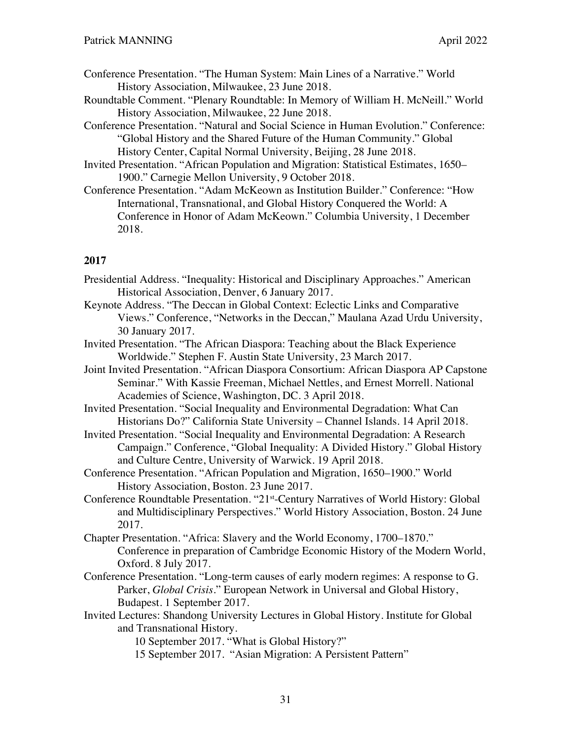- Conference Presentation. "The Human System: Main Lines of a Narrative." World History Association, Milwaukee, 23 June 2018.
- Roundtable Comment. "Plenary Roundtable: In Memory of William H. McNeill." World History Association, Milwaukee, 22 June 2018.
- Conference Presentation. "Natural and Social Science in Human Evolution." Conference: "Global History and the Shared Future of the Human Community." Global History Center, Capital Normal University, Beijing, 28 June 2018.
- Invited Presentation. "African Population and Migration: Statistical Estimates, 1650– 1900." Carnegie Mellon University, 9 October 2018.
- Conference Presentation. "Adam McKeown as Institution Builder." Conference: "How International, Transnational, and Global History Conquered the World: A Conference in Honor of Adam McKeown." Columbia University, 1 December 2018.

- Presidential Address. "Inequality: Historical and Disciplinary Approaches." American Historical Association, Denver, 6 January 2017.
- Keynote Address. "The Deccan in Global Context: Eclectic Links and Comparative Views." Conference, "Networks in the Deccan," Maulana Azad Urdu University, 30 January 2017.
- Invited Presentation. "The African Diaspora: Teaching about the Black Experience Worldwide." Stephen F. Austin State University, 23 March 2017.
- Joint Invited Presentation. "African Diaspora Consortium: African Diaspora AP Capstone Seminar." With Kassie Freeman, Michael Nettles, and Ernest Morrell. National Academies of Science, Washington, DC. 3 April 2018.
- Invited Presentation. "Social Inequality and Environmental Degradation: What Can Historians Do?" California State University – Channel Islands. 14 April 2018.
- Invited Presentation. "Social Inequality and Environmental Degradation: A Research Campaign." Conference, "Global Inequality: A Divided History." Global History and Culture Centre, University of Warwick. 19 April 2018.
- Conference Presentation. "African Population and Migration, 1650–1900." World History Association, Boston. 23 June 2017.
- Conference Roundtable Presentation. "21st-Century Narratives of World History: Global and Multidisciplinary Perspectives." World History Association, Boston. 24 June 2017.
- Chapter Presentation. "Africa: Slavery and the World Economy, 1700–1870." Conference in preparation of Cambridge Economic History of the Modern World, Oxford. 8 July 2017.
- Conference Presentation. "Long-term causes of early modern regimes: A response to G. Parker, *Global Crisis.*" European Network in Universal and Global History, Budapest. 1 September 2017.
- Invited Lectures: Shandong University Lectures in Global History. Institute for Global and Transnational History.
	- 10 September 2017. "What is Global History?"
	- 15 September 2017. "Asian Migration: A Persistent Pattern"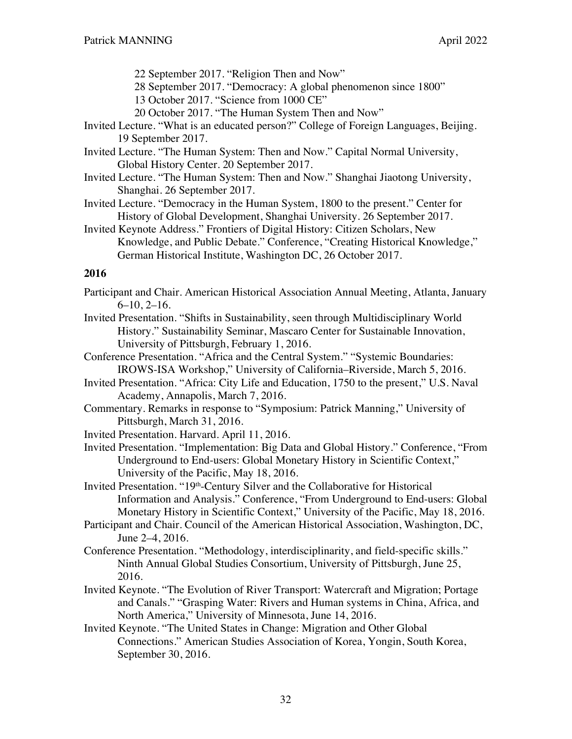- 22 September 2017. "Religion Then and Now"
- 28 September 2017. "Democracy: A global phenomenon since 1800"
- 13 October 2017. "Science from 1000 CE"
- 20 October 2017. "The Human System Then and Now"
- Invited Lecture. "What is an educated person?" College of Foreign Languages, Beijing. 19 September 2017.
- Invited Lecture. "The Human System: Then and Now." Capital Normal University, Global History Center. 20 September 2017.
- Invited Lecture. "The Human System: Then and Now." Shanghai Jiaotong University, Shanghai. 26 September 2017.
- Invited Lecture. "Democracy in the Human System, 1800 to the present." Center for History of Global Development, Shanghai University. 26 September 2017.
- Invited Keynote Address." Frontiers of Digital History: Citizen Scholars, New Knowledge, and Public Debate." Conference, "Creating Historical Knowledge," German Historical Institute, Washington DC, 26 October 2017.

- Participant and Chair. American Historical Association Annual Meeting, Atlanta, January 6–10, 2–16.
- Invited Presentation. "Shifts in Sustainability, seen through Multidisciplinary World History." Sustainability Seminar, Mascaro Center for Sustainable Innovation, University of Pittsburgh, February 1, 2016.
- Conference Presentation. "Africa and the Central System." "Systemic Boundaries: IROWS-ISA Workshop," University of California–Riverside, March 5, 2016.
- Invited Presentation. "Africa: City Life and Education, 1750 to the present," U.S. Naval Academy, Annapolis, March 7, 2016.
- Commentary. Remarks in response to "Symposium: Patrick Manning," University of Pittsburgh, March 31, 2016.
- Invited Presentation. Harvard. April 11, 2016.
- Invited Presentation. "Implementation: Big Data and Global History." Conference, "From Underground to End-users: Global Monetary History in Scientific Context," University of the Pacific, May 18, 2016.

Invited Presentation. "19<sup>th</sup>-Century Silver and the Collaborative for Historical Information and Analysis." Conference, "From Underground to End-users: Global Monetary History in Scientific Context," University of the Pacific, May 18, 2016.

- Participant and Chair. Council of the American Historical Association, Washington, DC, June 2–4, 2016.
- Conference Presentation. "Methodology, interdisciplinarity, and field-specific skills." Ninth Annual Global Studies Consortium, University of Pittsburgh, June 25, 2016.
- Invited Keynote. "The Evolution of River Transport: Watercraft and Migration; Portage and Canals." "Grasping Water: Rivers and Human systems in China, Africa, and North America," University of Minnesota, June 14, 2016.
- Invited Keynote. "The United States in Change: Migration and Other Global Connections." American Studies Association of Korea, Yongin, South Korea, September 30, 2016.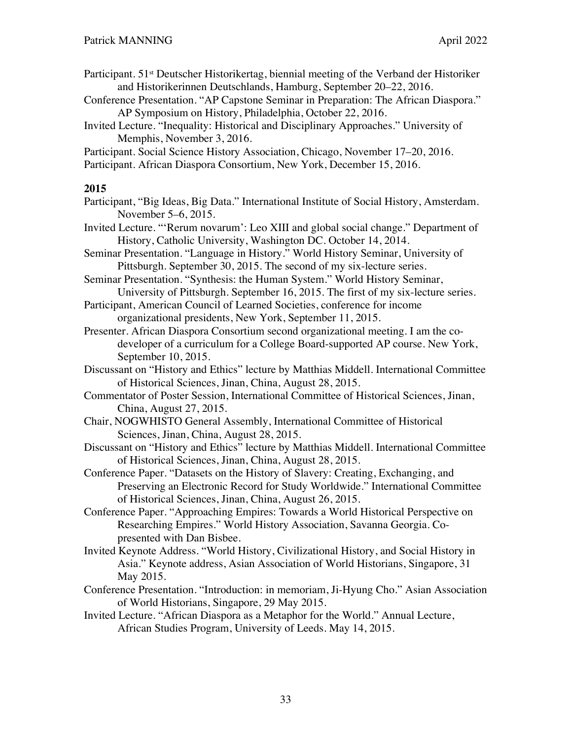- Participant. 51<sup>st</sup> Deutscher Historikertag, biennial meeting of the Verband der Historiker and Historikerinnen Deutschlands, Hamburg, September 20–22, 2016.
- Conference Presentation. "AP Capstone Seminar in Preparation: The African Diaspora." AP Symposium on History, Philadelphia, October 22, 2016.
- Invited Lecture. "Inequality: Historical and Disciplinary Approaches." University of Memphis, November 3, 2016.
- Participant. Social Science History Association, Chicago, November 17–20, 2016.

Participant. African Diaspora Consortium, New York, December 15, 2016.

- Participant, "Big Ideas, Big Data." International Institute of Social History, Amsterdam. November 5–6, 2015.
- Invited Lecture. "'Rerum novarum': Leo XIII and global social change." Department of History, Catholic University, Washington DC. October 14, 2014.
- Seminar Presentation. "Language in History." World History Seminar, University of Pittsburgh. September 30, 2015. The second of my six-lecture series.
- Seminar Presentation. "Synthesis: the Human System." World History Seminar, University of Pittsburgh. September 16, 2015. The first of my six-lecture series.
- Participant, American Council of Learned Societies, conference for income organizational presidents, New York, September 11, 2015.
- Presenter. African Diaspora Consortium second organizational meeting. I am the codeveloper of a curriculum for a College Board-supported AP course. New York, September 10, 2015.
- Discussant on "History and Ethics" lecture by Matthias Middell. International Committee of Historical Sciences, Jinan, China, August 28, 2015.
- Commentator of Poster Session, International Committee of Historical Sciences, Jinan, China, August 27, 2015.
- Chair, NOGWHISTO General Assembly, International Committee of Historical Sciences, Jinan, China, August 28, 2015.
- Discussant on "History and Ethics" lecture by Matthias Middell. International Committee of Historical Sciences, Jinan, China, August 28, 2015.
- Conference Paper. "Datasets on the History of Slavery: Creating, Exchanging, and Preserving an Electronic Record for Study Worldwide." International Committee of Historical Sciences, Jinan, China, August 26, 2015.
- Conference Paper. "Approaching Empires: Towards a World Historical Perspective on Researching Empires." World History Association, Savanna Georgia. Copresented with Dan Bisbee.
- Invited Keynote Address. "World History, Civilizational History, and Social History in Asia." Keynote address, Asian Association of World Historians, Singapore, 31 May 2015.
- Conference Presentation. "Introduction: in memoriam, Ji-Hyung Cho." Asian Association of World Historians, Singapore, 29 May 2015.
- Invited Lecture. "African Diaspora as a Metaphor for the World." Annual Lecture, African Studies Program, University of Leeds. May 14, 2015.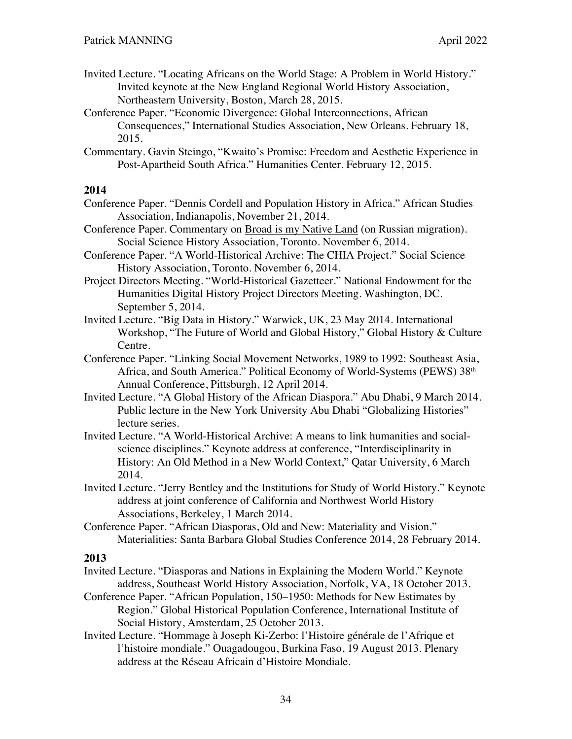- Invited Lecture. "Locating Africans on the World Stage: A Problem in World History." Invited keynote at the New England Regional World History Association, Northeastern University, Boston, March 28, 2015.
- Conference Paper. "Economic Divergence: Global Interconnections, African Consequences," International Studies Association, New Orleans. February 18, 2015.
- Commentary. Gavin Steingo, "Kwaito's Promise: Freedom and Aesthetic Experience in Post-Apartheid South Africa." Humanities Center. February 12, 2015.

- Conference Paper. "Dennis Cordell and Population History in Africa." African Studies Association, Indianapolis, November 21, 2014.
- Conference Paper. Commentary on Broad is my Native Land (on Russian migration). Social Science History Association, Toronto. November 6, 2014.
- Conference Paper. "A World-Historical Archive: The CHIA Project." Social Science History Association, Toronto. November 6, 2014.
- Project Directors Meeting. "World-Historical Gazetteer." National Endowment for the Humanities Digital History Project Directors Meeting. Washington, DC. September 5, 2014.
- Invited Lecture. "Big Data in History." Warwick, UK, 23 May 2014. International Workshop, "The Future of World and Global History," Global History & Culture Centre.
- Conference Paper. "Linking Social Movement Networks, 1989 to 1992: Southeast Asia, Africa, and South America." Political Economy of World-Systems (PEWS) 38th Annual Conference, Pittsburgh, 12 April 2014.
- Invited Lecture. "A Global History of the African Diaspora." Abu Dhabi, 9 March 2014. Public lecture in the New York University Abu Dhabi "Globalizing Histories" lecture series.
- Invited Lecture. "A World-Historical Archive: A means to link humanities and socialscience disciplines." Keynote address at conference, "Interdisciplinarity in History: An Old Method in a New World Context," Qatar University, 6 March 2014.
- Invited Lecture. "Jerry Bentley and the Institutions for Study of World History." Keynote address at joint conference of California and Northwest World History Associations, Berkeley, 1 March 2014.
- Conference Paper. "African Diasporas, Old and New: Materiality and Vision." Materialities: Santa Barbara Global Studies Conference 2014, 28 February 2014.

- Invited Lecture. "Diasporas and Nations in Explaining the Modern World." Keynote address, Southeast World History Association, Norfolk, VA, 18 October 2013.
- Conference Paper. "African Population, 150–1950: Methods for New Estimates by Region." Global Historical Population Conference, International Institute of Social History, Amsterdam, 25 October 2013.
- Invited Lecture. "Hommage à Joseph Ki-Zerbo: l'Histoire générale de l'Afrique et l'histoire mondiale." Ouagadougou, Burkina Faso, 19 August 2013. Plenary address at the Réseau Africain d'Histoire Mondiale.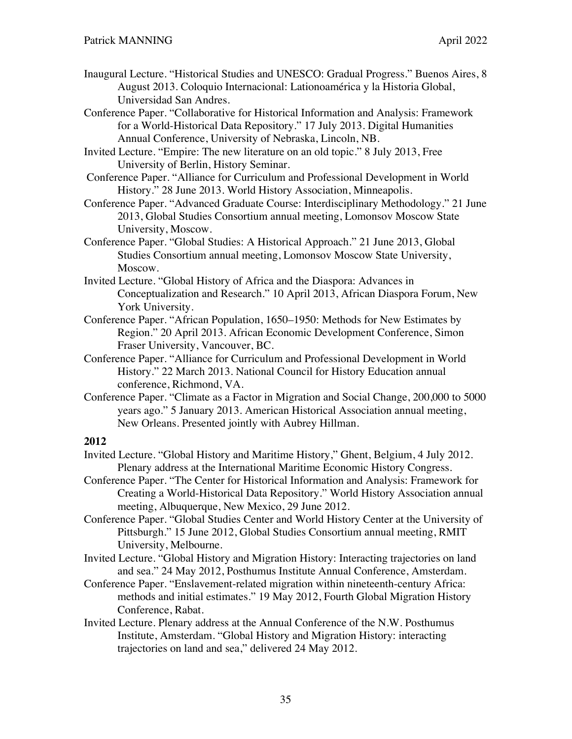- Inaugural Lecture. "Historical Studies and UNESCO: Gradual Progress." Buenos Aires, 8 August 2013. Coloquio Internacional: Lationoamérica y la Historia Global, Universidad San Andres.
- Conference Paper. "Collaborative for Historical Information and Analysis: Framework for a World-Historical Data Repository." 17 July 2013. Digital Humanities Annual Conference, University of Nebraska, Lincoln, NB.
- Invited Lecture. "Empire: The new literature on an old topic." 8 July 2013, Free University of Berlin, History Seminar.
- Conference Paper. "Alliance for Curriculum and Professional Development in World History." 28 June 2013. World History Association, Minneapolis.
- Conference Paper. "Advanced Graduate Course: Interdisciplinary Methodology." 21 June 2013, Global Studies Consortium annual meeting, Lomonsov Moscow State University, Moscow.
- Conference Paper. "Global Studies: A Historical Approach." 21 June 2013, Global Studies Consortium annual meeting, Lomonsov Moscow State University, Moscow.
- Invited Lecture. "Global History of Africa and the Diaspora: Advances in Conceptualization and Research." 10 April 2013, African Diaspora Forum, New York University.
- Conference Paper. "African Population, 1650–1950: Methods for New Estimates by Region." 20 April 2013. African Economic Development Conference, Simon Fraser University, Vancouver, BC.
- Conference Paper. "Alliance for Curriculum and Professional Development in World History." 22 March 2013. National Council for History Education annual conference, Richmond, VA.
- Conference Paper. "Climate as a Factor in Migration and Social Change, 200,000 to 5000 years ago." 5 January 2013. American Historical Association annual meeting, New Orleans. Presented jointly with Aubrey Hillman.

- Invited Lecture. "Global History and Maritime History," Ghent, Belgium, 4 July 2012. Plenary address at the International Maritime Economic History Congress.
- Conference Paper. "The Center for Historical Information and Analysis: Framework for Creating a World-Historical Data Repository." World History Association annual meeting, Albuquerque, New Mexico, 29 June 2012.
- Conference Paper. "Global Studies Center and World History Center at the University of Pittsburgh." 15 June 2012, Global Studies Consortium annual meeting, RMIT University, Melbourne.
- Invited Lecture. "Global History and Migration History: Interacting trajectories on land and sea." 24 May 2012, Posthumus Institute Annual Conference, Amsterdam.
- Conference Paper. "Enslavement-related migration within nineteenth-century Africa: methods and initial estimates." 19 May 2012, Fourth Global Migration History Conference, Rabat.
- Invited Lecture. Plenary address at the Annual Conference of the N.W. Posthumus Institute, Amsterdam. "Global History and Migration History: interacting trajectories on land and sea," delivered 24 May 2012.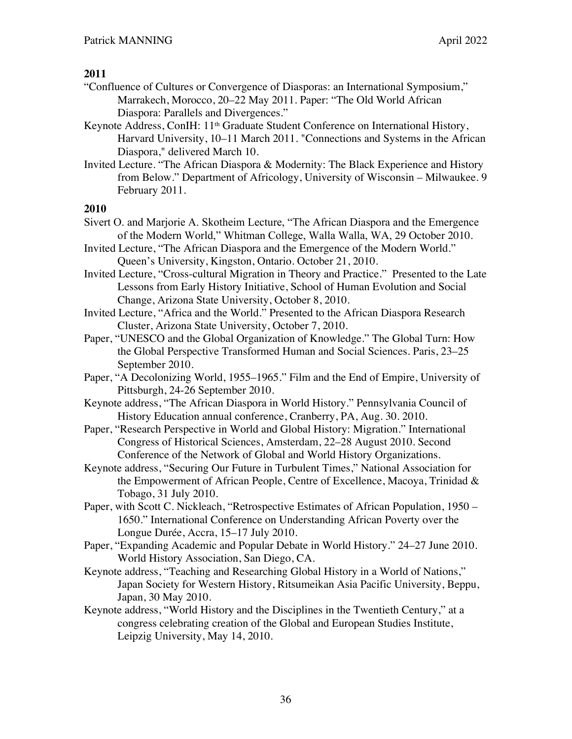- "Confluence of Cultures or Convergence of Diasporas: an International Symposium," Marrakech, Morocco, 20–22 May 2011. Paper: "The Old World African Diaspora: Parallels and Divergences."
- Keynote Address, ConIH:  $11<sup>th</sup>$  Graduate Student Conference on International History, Harvard University, 10–11 March 2011. "Connections and Systems in the African Diaspora," delivered March 10.
- Invited Lecture. "The African Diaspora & Modernity: The Black Experience and History from Below." Department of Africology, University of Wisconsin – Milwaukee. 9 February 2011.

- Sivert O. and Marjorie A. Skotheim Lecture, "The African Diaspora and the Emergence of the Modern World," Whitman College, Walla Walla, WA, 29 October 2010.
- Invited Lecture, "The African Diaspora and the Emergence of the Modern World." Queen's University, Kingston, Ontario. October 21, 2010.
- Invited Lecture, "Cross-cultural Migration in Theory and Practice." Presented to the Late Lessons from Early History Initiative, School of Human Evolution and Social Change, Arizona State University, October 8, 2010.
- Invited Lecture, "Africa and the World." Presented to the African Diaspora Research Cluster, Arizona State University, October 7, 2010.
- Paper, "UNESCO and the Global Organization of Knowledge." The Global Turn: How the Global Perspective Transformed Human and Social Sciences. Paris, 23–25 September 2010.
- Paper, "A Decolonizing World, 1955–1965." Film and the End of Empire, University of Pittsburgh, 24-26 September 2010.
- Keynote address, "The African Diaspora in World History." Pennsylvania Council of History Education annual conference, Cranberry, PA, Aug. 30. 2010.
- Paper, "Research Perspective in World and Global History: Migration." International Congress of Historical Sciences, Amsterdam, 22–28 August 2010. Second Conference of the Network of Global and World History Organizations.
- Keynote address, "Securing Our Future in Turbulent Times," National Association for the Empowerment of African People, Centre of Excellence, Macoya, Trinidad  $\&$ Tobago, 31 July 2010.
- Paper, with Scott C. Nickleach, "Retrospective Estimates of African Population, 1950 1650." International Conference on Understanding African Poverty over the Longue Durée, Accra, 15–17 July 2010.
- Paper, "Expanding Academic and Popular Debate in World History." 24–27 June 2010. World History Association, San Diego, CA.
- Keynote address, "Teaching and Researching Global History in a World of Nations," Japan Society for Western History, Ritsumeikan Asia Pacific University, Beppu, Japan, 30 May 2010.
- Keynote address, "World History and the Disciplines in the Twentieth Century," at a congress celebrating creation of the Global and European Studies Institute, Leipzig University, May 14, 2010.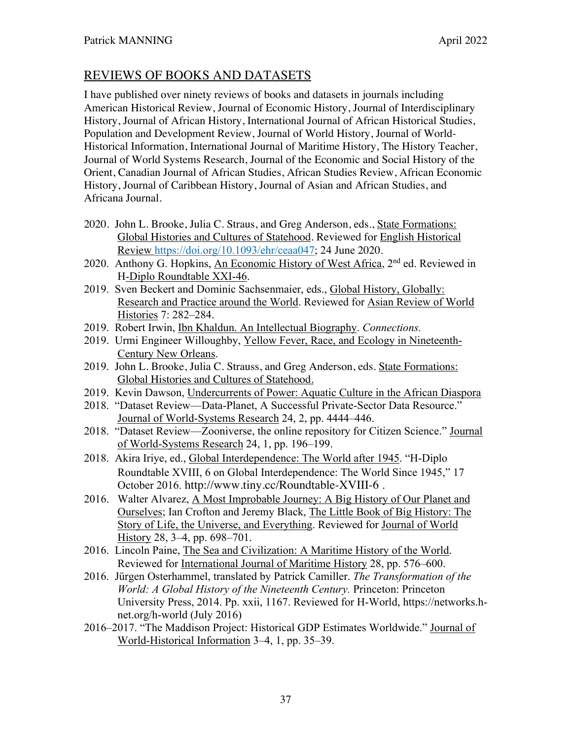## REVIEWS OF BOOKS AND DATASETS

I have published over ninety reviews of books and datasets in journals including American Historical Review, Journal of Economic History, Journal of Interdisciplinary History, Journal of African History, International Journal of African Historical Studies, Population and Development Review, Journal of World History, Journal of World-Historical Information, International Journal of Maritime History, The History Teacher, Journal of World Systems Research, Journal of the Economic and Social History of the Orient, Canadian Journal of African Studies, African Studies Review, African Economic History, Journal of Caribbean History, Journal of Asian and African Studies, and Africana Journal.

- 2020. John L. Brooke, Julia C. Straus, and Greg Anderson, eds., State Formations: Global Histories and Cultures of Statehood. Reviewed for English Historical Review https://doi.org/10.1093/ehr/ceaa047; 24 June 2020.
- 2020. Anthony G. Hopkins, An Economic History of West Africa, 2nd ed. Reviewed in H-Diplo Roundtable XXI-46.
- 2019. Sven Beckert and Dominic Sachsenmaier, eds., Global History, Globally: Research and Practice around the World. Reviewed for Asian Review of World Histories 7: 282–284.
- 2019. Robert Irwin, Ibn Khaldun. An Intellectual Biography. *Connections.*
- 2019. Urmi Engineer Willoughby, Yellow Fever, Race, and Ecology in Nineteenth-Century New Orleans.
- 2019. John L. Brooke, Julia C. Strauss, and Greg Anderson, eds. State Formations: Global Histories and Cultures of Statehood.
- 2019. Kevin Dawson, Undercurrents of Power: Aquatic Culture in the African Diaspora
- 2018. "Dataset Review—Data-Planet, A Successful Private-Sector Data Resource." Journal of World-Systems Research 24, 2, pp. 4444–446.
- 2018. "Dataset Review—Zooniverse, the online repository for Citizen Science." Journal of World-Systems Research 24, 1, pp. 196–199.
- 2018. Akira Iriye, ed., Global Interdependence: The World after 1945. "H-Diplo Roundtable XVIII, 6 on Global Interdependence: The World Since 1945," 17 October 2016. http://www.tiny.cc/Roundtable-XVIII-6 .
- 2016. Walter Alvarez, A Most Improbable Journey: A Big History of Our Planet and Ourselves; Ian Crofton and Jeremy Black, The Little Book of Big History: The Story of Life, the Universe, and Everything. Reviewed for Journal of World History 28, 3–4, pp. 698–701.
- 2016. Lincoln Paine, The Sea and Civilization: A Maritime History of the World. Reviewed for International Journal of Maritime History 28, pp. 576–600.
- 2016. Jürgen Osterhammel, translated by Patrick Camiller. *The Transformation of the World: A Global History of the Nineteenth Century.* Princeton: Princeton University Press, 2014. Pp. xxii, 1167. Reviewed for H-World, https://networks.hnet.org/h-world (July 2016)
- 2016–2017. "The Maddison Project: Historical GDP Estimates Worldwide." Journal of World-Historical Information 3–4, 1, pp. 35–39.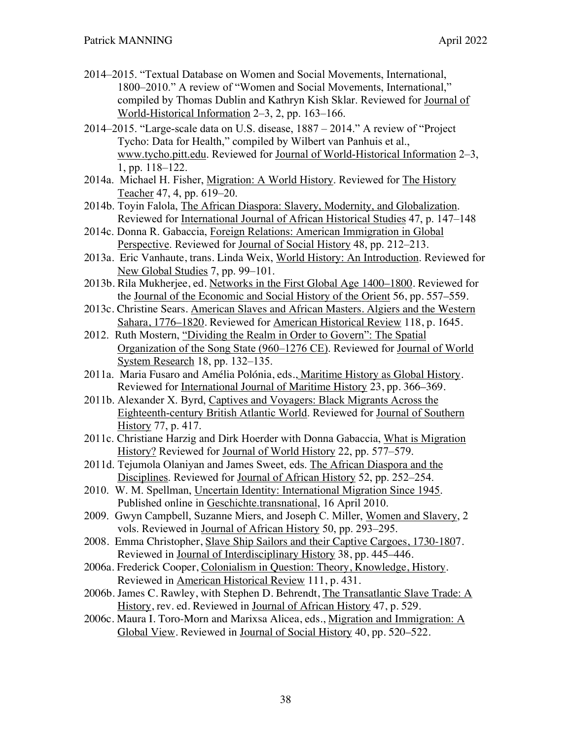- 2014–2015. "Textual Database on Women and Social Movements, International, 1800–2010." A review of "Women and Social Movements, International," compiled by Thomas Dublin and Kathryn Kish Sklar. Reviewed for Journal of World-Historical Information 2–3, 2, pp. 163–166.
- 2014–2015. "Large-scale data on U.S. disease, 1887 2014." A review of "Project Tycho: Data for Health," compiled by Wilbert van Panhuis et al., www.tycho.pitt.edu. Reviewed for Journal of World-Historical Information 2–3, 1, pp. 118–122.
- 2014a. Michael H. Fisher, Migration: A World History. Reviewed for The History Teacher 47, 4, pp. 619–20.
- 2014b. Toyin Falola, The African Diaspora: Slavery, Modernity, and Globalization. Reviewed for International Journal of African Historical Studies 47, p. 147–148
- 2014c. Donna R. Gabaccia, Foreign Relations: American Immigration in Global Perspective. Reviewed for Journal of Social History 48, pp. 212–213.
- 2013a. Eric Vanhaute, trans. Linda Weix, World History: An Introduction. Reviewed for New Global Studies 7, pp. 99–101.
- 2013b. Rila Mukherjee, ed. Networks in the First Global Age 1400–1800. Reviewed for the Journal of the Economic and Social History of the Orient 56, pp. 557–559.
- 2013c. Christine Sears. American Slaves and African Masters. Algiers and the Western Sahara, 1776–1820. Reviewed for American Historical Review 118, p. 1645.
- 2012. Ruth Mostern, "Dividing the Realm in Order to Govern": The Spatial Organization of the Song State (960–1276 CE). Reviewed for Journal of World System Research 18, pp. 132–135.
- 2011a. Maria Fusaro and Amélia Polónia, eds., Maritime History as Global History. Reviewed for International Journal of Maritime History 23, pp. 366–369.
- 2011b. Alexander X. Byrd, Captives and Voyagers: Black Migrants Across the Eighteenth-century British Atlantic World. Reviewed for Journal of Southern History 77, p. 417.
- 2011c. Christiane Harzig and Dirk Hoerder with Donna Gabaccia, What is Migration History? Reviewed for Journal of World History 22, pp. 577–579.
- 2011d. Tejumola Olaniyan and James Sweet, eds. The African Diaspora and the Disciplines. Reviewed for Journal of African History 52, pp. 252–254.
- 2010. W. M. Spellman, Uncertain Identity: International Migration Since 1945. Published online in Geschichte.transnational, 16 April 2010.
- 2009. Gwyn Campbell, Suzanne Miers, and Joseph C. Miller, Women and Slavery, 2 vols. Reviewed in Journal of African History 50, pp. 293–295.
- 2008. Emma Christopher, Slave Ship Sailors and their Captive Cargoes, 1730-1807. Reviewed in Journal of Interdisciplinary History 38, pp. 445–446.
- 2006a. Frederick Cooper, Colonialism in Question: Theory, Knowledge, History. Reviewed in American Historical Review 111, p. 431.
- 2006b. James C. Rawley, with Stephen D. Behrendt, The Transatlantic Slave Trade: A History, rev. ed. Reviewed in Journal of African History 47, p. 529.
- 2006c. Maura I. Toro-Morn and Marixsa Alicea, eds., Migration and Immigration: A Global View. Reviewed in Journal of Social History 40, pp. 520–522.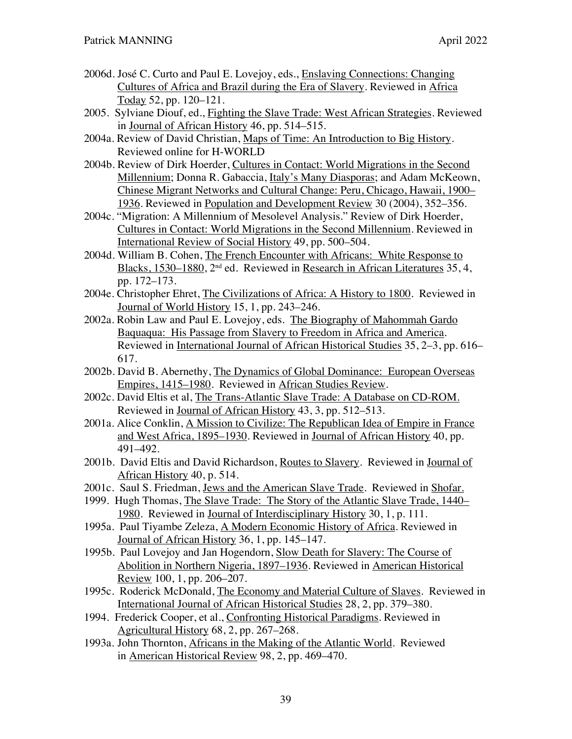- 2006d. José C. Curto and Paul E. Lovejoy, eds., Enslaving Connections: Changing Cultures of Africa and Brazil during the Era of Slavery. Reviewed in Africa Today 52, pp. 120–121.
- 2005. Sylviane Diouf, ed., Fighting the Slave Trade: West African Strategies. Reviewed in Journal of African History 46, pp. 514–515.
- 2004a. Review of David Christian, Maps of Time: An Introduction to Big History. Reviewed online for H-WORLD
- 2004b. Review of Dirk Hoerder, Cultures in Contact: World Migrations in the Second Millennium; Donna R. Gabaccia, Italy's Many Diasporas; and Adam McKeown, Chinese Migrant Networks and Cultural Change: Peru, Chicago, Hawaii, 1900– 1936. Reviewed in Population and Development Review 30 (2004), 352–356.
- 2004c. "Migration: A Millennium of Mesolevel Analysis." Review of Dirk Hoerder, Cultures in Contact: World Migrations in the Second Millennium. Reviewed in International Review of Social History 49, pp. 500–504.
- 2004d. William B. Cohen, The French Encounter with Africans: White Response to Blacks, 1530–1880, 2nd ed. Reviewed in Research in African Literatures 35, 4, pp. 172–173.
- 2004e. Christopher Ehret, The Civilizations of Africa: A History to 1800. Reviewed in Journal of World History 15, 1, pp. 243–246.
- 2002a. Robin Law and Paul E. Lovejoy, eds. The Biography of Mahommah Gardo Baquaqua: His Passage from Slavery to Freedom in Africa and America. Reviewed in International Journal of African Historical Studies 35, 2–3, pp. 616– 617.
- 2002b. David B. Abernethy, The Dynamics of Global Dominance: European Overseas Empires, 1415–1980. Reviewed in African Studies Review.
- 2002c. David Eltis et al, The Trans-Atlantic Slave Trade: A Database on CD-ROM. Reviewed in Journal of African History 43, 3, pp. 512–513.
- 2001a. Alice Conklin, A Mission to Civilize: The Republican Idea of Empire in France and West Africa, 1895–1930. Reviewed in Journal of African History 40, pp. 491–492.
- 2001b. David Eltis and David Richardson, Routes to Slavery. Reviewed in Journal of African History 40, p. 514.
- 2001c. Saul S. Friedman, Jews and the American Slave Trade. Reviewed in Shofar.
- 1999. Hugh Thomas, The Slave Trade: The Story of the Atlantic Slave Trade, 1440– 1980. Reviewed in Journal of Interdisciplinary History 30, 1, p. 111.
- 1995a. Paul Tiyambe Zeleza, A Modern Economic History of Africa. Reviewed in Journal of African History 36, 1, pp. 145–147.
- 1995b. Paul Lovejoy and Jan Hogendorn, Slow Death for Slavery: The Course of Abolition in Northern Nigeria, 1897–1936. Reviewed in American Historical Review 100, 1, pp. 206–207.
- 1995c. Roderick McDonald, The Economy and Material Culture of Slaves. Reviewed in International Journal of African Historical Studies 28, 2, pp. 379–380.
- 1994. Frederick Cooper, et al., Confronting Historical Paradigms. Reviewed in Agricultural History 68, 2, pp. 267–268.
- 1993a. John Thornton, Africans in the Making of the Atlantic World. Reviewed in American Historical Review 98, 2, pp. 469–470.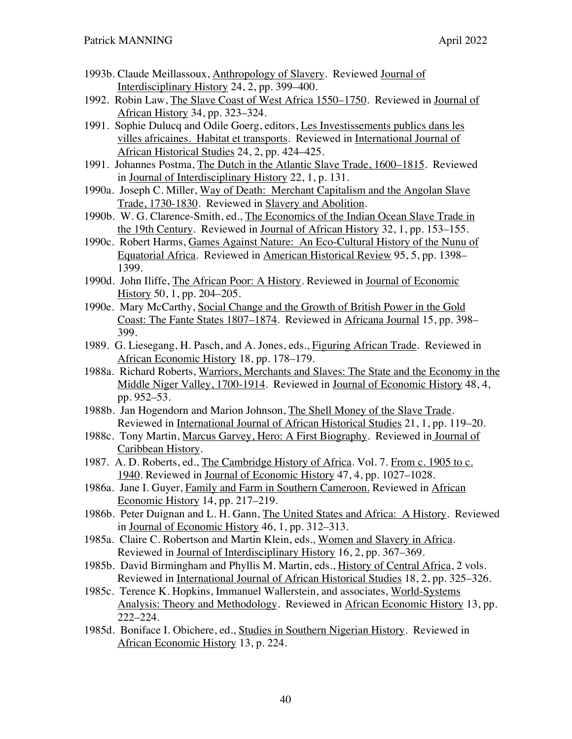- 1993b. Claude Meillassoux, Anthropology of Slavery. Reviewed Journal of Interdisciplinary History 24, 2, pp. 399–400.
- 1992. Robin Law, The Slave Coast of West Africa 1550–1750. Reviewed in Journal of African History 34, pp. 323–324.
- 1991. Sophie Dulucq and Odile Goerg, editors, Les Investissements publics dans les villes africaines. Habitat et transports. Reviewed in International Journal of African Historical Studies 24, 2, pp. 424–425.
- 1991. Johannes Postma, The Dutch in the Atlantic Slave Trade, 1600–1815. Reviewed in Journal of Interdisciplinary History 22, 1, p. 131.
- 1990a. Joseph C. Miller, Way of Death: Merchant Capitalism and the Angolan Slave Trade, 1730-1830. Reviewed in Slavery and Abolition.
- 1990b. W. G. Clarence-Smith, ed., The Economics of the Indian Ocean Slave Trade in the 19th Century. Reviewed in Journal of African History 32, 1, pp. 153–155.
- 1990c. Robert Harms, Games Against Nature: An Eco-Cultural History of the Nunu of Equatorial Africa. Reviewed in American Historical Review 95, 5, pp. 1398– 1399.
- 1990d. John Iliffe, The African Poor: A History. Reviewed in Journal of Economic History 50, 1, pp. 204–205.
- 1990e. Mary McCarthy, Social Change and the Growth of British Power in the Gold Coast: The Fante States 1807–1874. Reviewed in Africana Journal 15, pp. 398– 399.
- 1989. G. Liesegang, H. Pasch, and A. Jones, eds., Figuring African Trade. Reviewed in African Economic History 18, pp. 178–179.
- 1988a. Richard Roberts, Warriors, Merchants and Slaves: The State and the Economy in the Middle Niger Valley, 1700-1914. Reviewed in Journal of Economic History 48, 4, pp. 952–53.
- 1988b. Jan Hogendorn and Marion Johnson, The Shell Money of the Slave Trade. Reviewed in International Journal of African Historical Studies 21, 1, pp. 119–20.
- 1988c. Tony Martin, Marcus Garvey, Hero: A First Biography. Reviewed in Journal of Caribbean History.
- 1987. A. D. Roberts, ed., The Cambridge History of Africa. Vol. 7. From c. 1905 to c. 1940. Reviewed in Journal of Economic History 47, 4, pp. 1027–1028.
- 1986a. Jane I. Guyer, Family and Farm in Southern Cameroon. Reviewed in African Economic History 14, pp. 217–219.
- 1986b. Peter Duignan and L. H. Gann, The United States and Africa: A History. Reviewed in Journal of Economic History 46, 1, pp. 312–313.
- 1985a. Claire C. Robertson and Martin Klein, eds., Women and Slavery in Africa. Reviewed in Journal of Interdisciplinary History 16, 2, pp. 367–369.
- 1985b. David Birmingham and Phyllis M. Martin, eds., History of Central Africa, 2 vols. Reviewed in International Journal of African Historical Studies 18, 2, pp. 325–326.
- 1985c. Terence K. Hopkins, Immanuel Wallerstein, and associates, World-Systems Analysis: Theory and Methodology. Reviewed in African Economic History 13, pp. 222–224.
- 1985d. Boniface I. Obichere, ed., Studies in Southern Nigerian History. Reviewed in African Economic History 13, p. 224.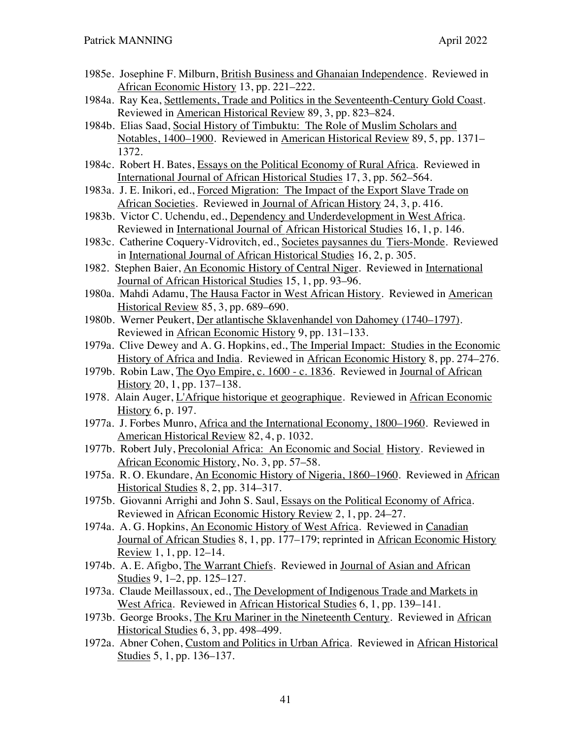- 1985e. Josephine F. Milburn, British Business and Ghanaian Independence. Reviewed in African Economic History 13, pp. 221–222.
- 1984a. Ray Kea, Settlements, Trade and Politics in the Seventeenth-Century Gold Coast. Reviewed in American Historical Review 89, 3, pp. 823–824.
- 1984b. Elias Saad, Social History of Timbuktu: The Role of Muslim Scholars and Notables, 1400–1900. Reviewed in American Historical Review 89, 5, pp. 1371– 1372.
- 1984c. Robert H. Bates, Essays on the Political Economy of Rural Africa. Reviewed in International Journal of African Historical Studies 17, 3, pp. 562–564.
- 1983a. J. E. Inikori, ed., Forced Migration: The Impact of the Export Slave Trade on African Societies. Reviewed in Journal of African History 24, 3, p. 416.
- 1983b. Victor C. Uchendu, ed., Dependency and Underdevelopment in West Africa. Reviewed in International Journal of African Historical Studies 16, 1, p. 146.
- 1983c. Catherine Coquery-Vidrovitch, ed., Societes paysannes du Tiers-Monde. Reviewed in International Journal of African Historical Studies 16, 2, p. 305.
- 1982. Stephen Baier, An Economic History of Central Niger. Reviewed in International Journal of African Historical Studies 15, 1, pp. 93–96.
- 1980a. Mahdi Adamu, The Hausa Factor in West African History. Reviewed in American Historical Review 85, 3, pp. 689–690.
- 1980b. Werner Peukert, Der atlantische Sklavenhandel von Dahomey (1740–1797). Reviewed in African Economic History 9, pp. 131–133.
- 1979a. Clive Dewey and A. G. Hopkins, ed., The Imperial Impact: Studies in the Economic History of Africa and India. Reviewed in African Economic History 8, pp. 274–276.
- 1979b. Robin Law, The Oyo Empire, c. 1600 c. 1836. Reviewed in Journal of African History 20, 1, pp. 137–138.
- 1978. Alain Auger, L'Afrique historique et geographique. Reviewed in African Economic History 6, p. 197.
- 1977a. J. Forbes Munro, Africa and the International Economy, 1800–1960. Reviewed in American Historical Review 82, 4, p. 1032.
- 1977b. Robert July, Precolonial Africa: An Economic and Social History. Reviewed in African Economic History, No. 3, pp. 57–58.
- 1975a. R. O. Ekundare, An Economic History of Nigeria, 1860–1960. Reviewed in African Historical Studies 8, 2, pp. 314–317.
- 1975b. Giovanni Arrighi and John S. Saul, Essays on the Political Economy of Africa. Reviewed in African Economic History Review 2, 1, pp. 24–27.
- 1974a. A. G. Hopkins, An Economic History of West Africa. Reviewed in Canadian Journal of African Studies 8, 1, pp. 177–179; reprinted in African Economic History Review 1, 1, pp. 12–14.
- 1974b. A. E. Afigbo, The Warrant Chiefs. Reviewed in Journal of Asian and African Studies 9, 1–2, pp. 125–127.
- 1973a. Claude Meillassoux, ed., The Development of Indigenous Trade and Markets in West Africa. Reviewed in African Historical Studies 6, 1, pp. 139–141.
- 1973b. George Brooks, The Kru Mariner in the Nineteenth Century. Reviewed in African Historical Studies 6, 3, pp. 498–499.
- 1972a. Abner Cohen, Custom and Politics in Urban Africa. Reviewed in African Historical Studies 5, 1, pp. 136–137.